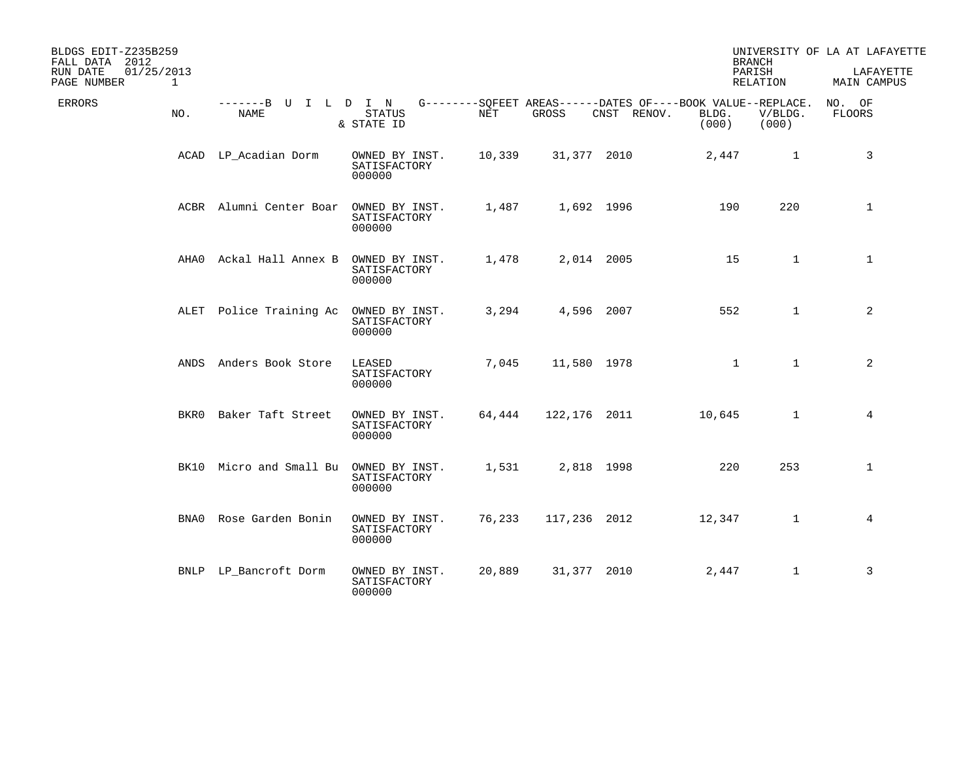| BLDGS EDIT-Z235B259<br>FALL DATA 2012 |             |                              |                                          |        |              |                                                                            |                | <b>BRANCH</b>      | UNIVERSITY OF LA AT LAFAYETTE |
|---------------------------------------|-------------|------------------------------|------------------------------------------|--------|--------------|----------------------------------------------------------------------------|----------------|--------------------|-------------------------------|
| 01/25/2013<br>RUN DATE<br>PAGE NUMBER | $\mathbf 1$ |                              |                                          |        |              |                                                                            |                | PARISH<br>RELATION | LAFAYETTE<br>MAIN CAMPUS      |
| ERRORS                                | NO.         | -------B U I L D I N<br>NAME | <b>STATUS</b><br>& STATE ID              | NET    | GROSS        | G--------SQFEET AREAS------DATES OF----BOOK VALUE--REPLACE.<br>CNST RENOV. | BLDG.<br>(000) | V/BLDG.<br>(000)   | NO. OF<br><b>FLOORS</b>       |
|                                       |             | ACAD LP_Acadian Dorm         | OWNED BY INST.<br>SATISFACTORY<br>000000 | 10,339 | 31,377 2010  |                                                                            | 2,447          | $\mathbf{1}$       | 3                             |
|                                       |             | ACBR Alumni Center Boar      | OWNED BY INST.<br>SATISFACTORY<br>000000 | 1,487  |              | 1,692 1996                                                                 | 190            | 220                | $\mathbf{1}$                  |
|                                       | AHA0        | Ackal Hall Annex B           | OWNED BY INST.<br>SATISFACTORY<br>000000 | 1,478  |              | 2,014 2005                                                                 | 15             | $\mathbf{1}$       | $\mathbf{1}$                  |
|                                       |             | ALET Police Training Ac      | OWNED BY INST.<br>SATISFACTORY<br>000000 | 3,294  |              | 4,596 2007                                                                 | 552            | $\mathbf{1}$       | 2                             |
|                                       | ANDS        | Anders Book Store            | LEASED<br>SATISFACTORY<br>000000         | 7,045  | 11,580 1978  |                                                                            | $\mathbf{1}$   | $\mathbf{1}$       | 2                             |
|                                       | BKR0        | Baker Taft Street            | OWNED BY INST.<br>SATISFACTORY<br>000000 | 64,444 | 122,176 2011 |                                                                            | 10,645         | $\mathbf{1}$       | 4                             |
|                                       |             | BK10 Micro and Small Bu      | OWNED BY INST.<br>SATISFACTORY<br>000000 | 1,531  | 2,818 1998   |                                                                            | 220            | 253                | $\mathbf 1$                   |
|                                       | BNA0        | Rose Garden Bonin            | OWNED BY INST.<br>SATISFACTORY<br>000000 | 76,233 | 117,236 2012 |                                                                            | 12,347         | $\mathbf{1}$       | 4                             |
|                                       | <b>BNLP</b> | LP_Bancroft Dorm             | OWNED BY INST.<br>SATISFACTORY<br>000000 | 20,889 | 31,377 2010  |                                                                            | 2,447          | $\mathbf{1}$       | 3                             |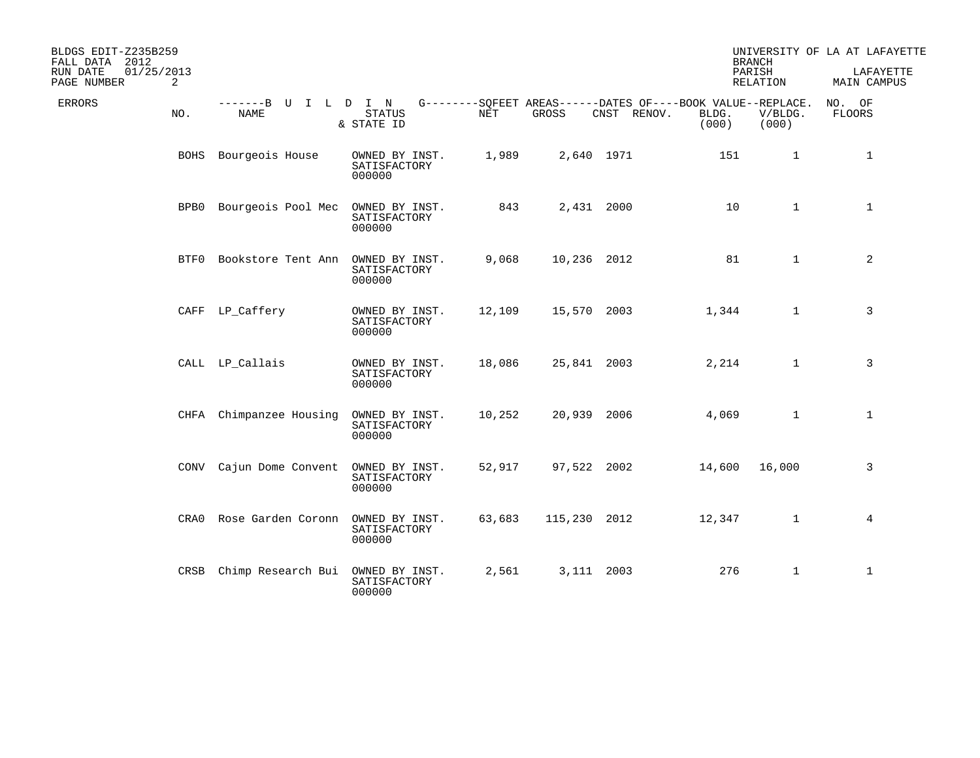| BLDGS EDIT-Z235B259<br>FALL DATA 2012      |      |                              |                                          |        |              |                                                                            |                | <b>BRANCH</b>      | UNIVERSITY OF LA AT LAFAYETTE |
|--------------------------------------------|------|------------------------------|------------------------------------------|--------|--------------|----------------------------------------------------------------------------|----------------|--------------------|-------------------------------|
| 01/25/2013<br>RUN DATE<br>2<br>PAGE NUMBER |      |                              |                                          |        |              |                                                                            |                | PARISH<br>RELATION | LAFAYETTE<br>MAIN CAMPUS      |
| ERRORS<br>NO.                              |      | -------B U I L D I N<br>NAME | <b>STATUS</b><br>& STATE ID              | NET    | GROSS        | G--------SQFEET AREAS------DATES OF----BOOK VALUE--REPLACE.<br>CNST RENOV. | BLDG.<br>(000) | V/BLDG.<br>(000)   | NO. OF<br><b>FLOORS</b>       |
|                                            |      | BOHS Bourgeois House         | OWNED BY INST.<br>SATISFACTORY<br>000000 | 1,989  |              | 2,640 1971                                                                 | 151            | $\mathbf{1}$       | 1                             |
|                                            |      | BPB0 Bourgeois Pool Mec      | OWNED BY INST.<br>SATISFACTORY<br>000000 | 843    |              | 2,431 2000                                                                 | 10             | $\mathbf{1}$       | $\mathbf{1}$                  |
|                                            | BTF0 | Bookstore Tent Ann           | OWNED BY INST.<br>SATISFACTORY<br>000000 | 9,068  | 10,236 2012  |                                                                            | 81             | $\mathbf{1}$       | 2                             |
|                                            |      | CAFF LP_Caffery              | OWNED BY INST.<br>SATISFACTORY<br>000000 | 12,109 | 15,570 2003  |                                                                            | 1,344          | $\mathbf{1}$       | 3                             |
|                                            |      | CALL LP_Callais              | OWNED BY INST.<br>SATISFACTORY<br>000000 | 18,086 | 25,841 2003  |                                                                            | 2,214          | $\mathbf{1}$       | 3                             |
|                                            |      | CHFA Chimpanzee Housing      | OWNED BY INST.<br>SATISFACTORY<br>000000 | 10,252 | 20,939 2006  |                                                                            | 4,069          | $\mathbf{1}$       | $\mathbf{1}$                  |
|                                            |      | CONV Cajun Dome Convent      | OWNED BY INST.<br>SATISFACTORY<br>000000 | 52,917 | 97,522 2002  |                                                                            | 14,600         | 16,000             | 3                             |
|                                            | CRA0 | Rose Garden Coronn           | OWNED BY INST.<br>SATISFACTORY<br>000000 | 63,683 | 115,230 2012 |                                                                            | 12,347         | $\mathbf{1}$       | 4                             |
|                                            | CRSB | Chimp Research Bui           | OWNED BY INST.<br>SATISFACTORY<br>000000 | 2,561  |              | 3,111 2003                                                                 | 276            | $\mathbf{1}$       | 1                             |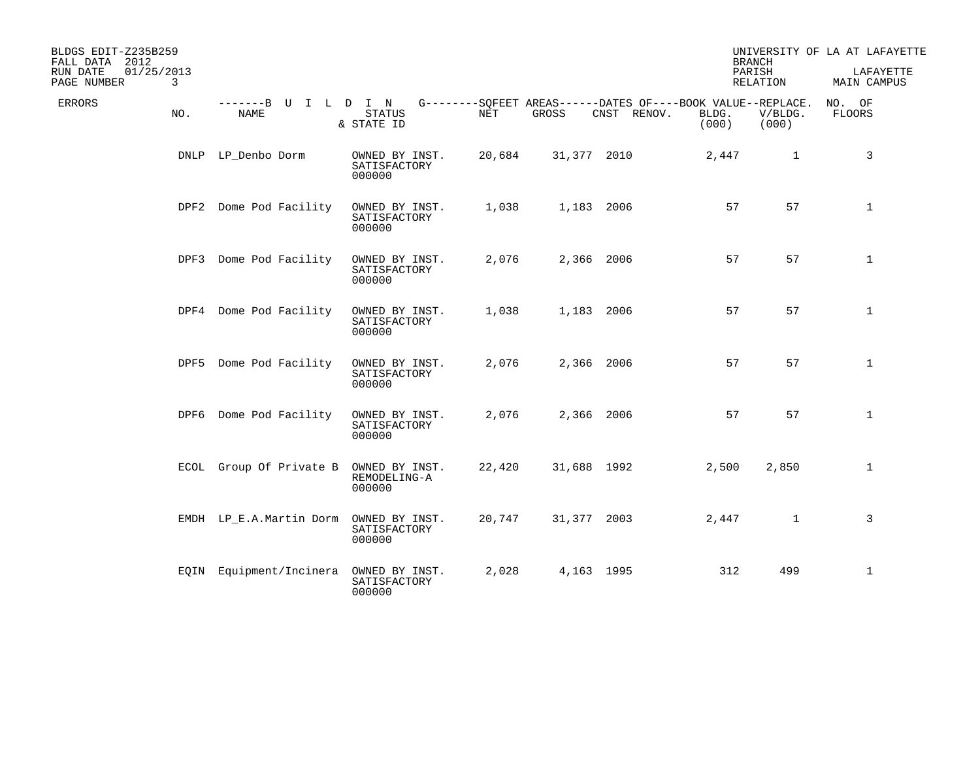| BLDGS EDIT-Z235B259<br>FALL DATA 2012<br>01/25/2013<br>RUN DATE<br>3<br>PAGE NUMBER |                              |                                          |        |             |                                                                            | <b>BRANCH</b><br>PARISH | RELATION         | UNIVERSITY OF LA AT LAFAYETTE<br>LAFAYETTE<br>MAIN CAMPUS |
|-------------------------------------------------------------------------------------|------------------------------|------------------------------------------|--------|-------------|----------------------------------------------------------------------------|-------------------------|------------------|-----------------------------------------------------------|
| ERRORS<br>NO.                                                                       | -------B U I L D I N<br>NAME | <b>STATUS</b><br>& STATE ID              | NET    | GROSS       | G--------SQFEET AREAS------DATES OF----BOOK VALUE--REPLACE.<br>CNST RENOV. | BLDG.<br>(000)          | V/BLDG.<br>(000) | NO. OF<br>FLOORS                                          |
|                                                                                     | DNLP LP_Denbo Dorm           | OWNED BY INST.<br>SATISFACTORY<br>000000 | 20,684 | 31,377 2010 |                                                                            | 2,447                   | $\mathbf{1}$     | 3                                                         |
|                                                                                     | DPF2 Dome Pod Facility       | OWNED BY INST.<br>SATISFACTORY<br>000000 | 1,038  | 1,183 2006  |                                                                            | 57                      | 57               | $\mathbf{1}$                                              |
|                                                                                     | DPF3 Dome Pod Facility       | OWNED BY INST.<br>SATISFACTORY<br>000000 | 2,076  | 2,366 2006  |                                                                            | 57                      | 57               | $\mathbf{1}$                                              |
|                                                                                     | DPF4 Dome Pod Facility       | OWNED BY INST.<br>SATISFACTORY<br>000000 | 1,038  | 1,183 2006  |                                                                            | 57                      | 57               | $\mathbf{1}$                                              |
| DPF5                                                                                | Dome Pod Facility            | OWNED BY INST.<br>SATISFACTORY<br>000000 | 2,076  | 2,366 2006  |                                                                            | 57                      | 57               | $\mathbf 1$                                               |
|                                                                                     | DPF6 Dome Pod Facility       | OWNED BY INST.<br>SATISFACTORY<br>000000 | 2,076  | 2,366 2006  |                                                                            | 57                      | 57               | $\mathbf 1$                                               |
|                                                                                     | ECOL Group Of Private B      | OWNED BY INST.<br>REMODELING-A<br>000000 | 22,420 | 31,688 1992 |                                                                            | 2,500                   | 2,850            | $\mathbf{1}$                                              |
|                                                                                     | EMDH LP_E.A.Martin Dorm      | OWNED BY INST.<br>SATISFACTORY<br>000000 | 20,747 | 31,377 2003 |                                                                            | 2,447                   | $\mathbf{1}$     | 3                                                         |
|                                                                                     | EQIN Equipment/Incinera      | OWNED BY INST.<br>SATISFACTORY<br>000000 | 2,028  | 4,163 1995  |                                                                            | 312                     | 499              | $\mathbf{1}$                                              |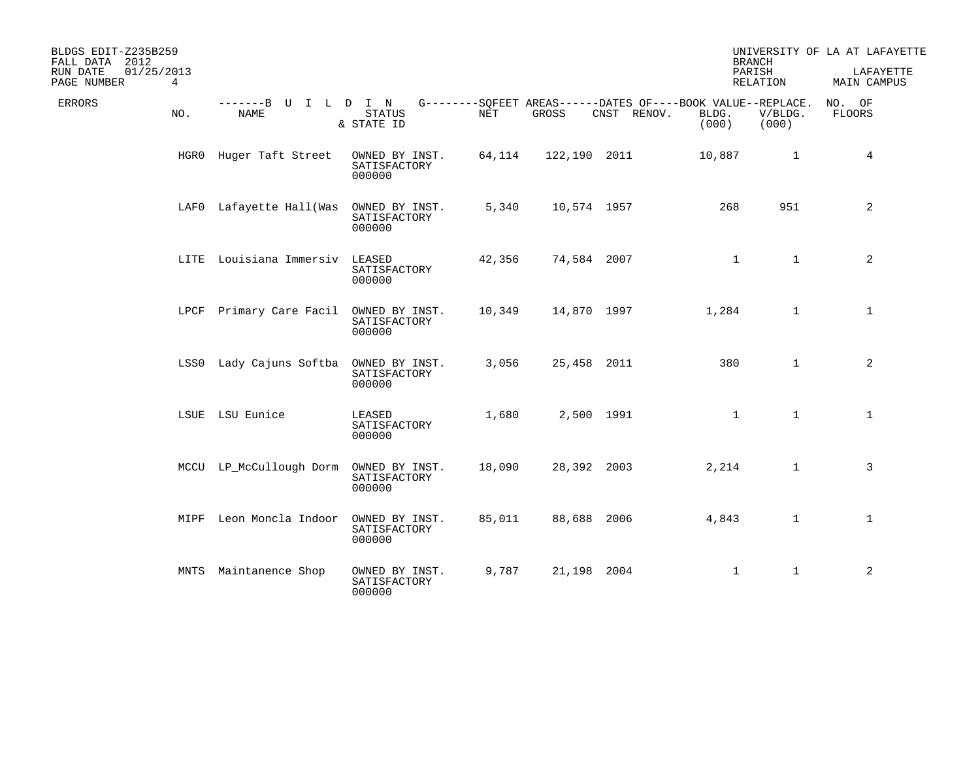| BLDGS EDIT-Z235B259<br>FALL DATA 2012      |                                     |                                          |        |              |                                                                            |                | <b>BRANCH</b>             | UNIVERSITY OF LA AT LAFAYETTE |
|--------------------------------------------|-------------------------------------|------------------------------------------|--------|--------------|----------------------------------------------------------------------------|----------------|---------------------------|-------------------------------|
| 01/25/2013<br>RUN DATE<br>PAGE NUMBER<br>4 |                                     |                                          |        |              |                                                                            |                | PARISH<br><b>RELATION</b> | LAFAYETTE<br>MAIN CAMPUS      |
| <b>ERRORS</b><br>NO.                       | -------B U I L D I N<br><b>NAME</b> | <b>STATUS</b><br>& STATE ID              | NET    | GROSS        | G--------SQFEET AREAS------DATES OF----BOOK VALUE--REPLACE.<br>CNST RENOV. | BLDG.<br>(000) | V/BLDG.<br>(000)          | NO. OF<br>FLOORS              |
|                                            | HGRO Huger Taft Street              | OWNED BY INST.<br>SATISFACTORY<br>000000 | 64,114 | 122,190 2011 |                                                                            | 10,887         | $\mathbf{1}$              | 4                             |
|                                            | LAFO Lafayette Hall(Was             | OWNED BY INST.<br>SATISFACTORY<br>000000 | 5,340  | 10,574 1957  |                                                                            | 268            | 951                       | 2                             |
|                                            | LITE Louisiana Immersiv             | LEASED<br>SATISFACTORY<br>000000         | 42,356 | 74,584 2007  |                                                                            | $\mathbf{1}$   | $\mathbf{1}$              | $\overline{a}$                |
|                                            | LPCF Primary Care Facil             | OWNED BY INST.<br>SATISFACTORY<br>000000 | 10,349 | 14,870 1997  |                                                                            | 1,284          | $\mathbf{1}$              | $\mathbf{1}$                  |
|                                            | LSS0 Lady Cajuns Softba             | OWNED BY INST.<br>SATISFACTORY<br>000000 | 3,056  | 25,458 2011  |                                                                            | 380            | $\mathbf{1}$              | 2                             |
|                                            | LSUE LSU Eunice                     | LEASED<br>SATISFACTORY<br>000000         | 1,680  |              | 2,500 1991                                                                 | $\mathbf{1}$   | $\mathbf{1}$              | $\mathbf{1}$                  |
|                                            | MCCU LP McCullough Dorm             | OWNED BY INST.<br>SATISFACTORY<br>000000 | 18,090 | 28,392 2003  |                                                                            | 2,214          | $\mathbf{1}$              | 3                             |
| MIPF                                       | Leon Moncla Indoor                  | OWNED BY INST.<br>SATISFACTORY<br>000000 | 85,011 |              | 88,688 2006                                                                | 4,843          | $\mathbf{1}$              | $\mathbf 1$                   |
| MNTS                                       | Maintanence Shop                    | OWNED BY INST.<br>SATISFACTORY<br>000000 | 9,787  | 21,198 2004  |                                                                            | $\mathbf{1}$   | $\mathbf{1}$              | 2                             |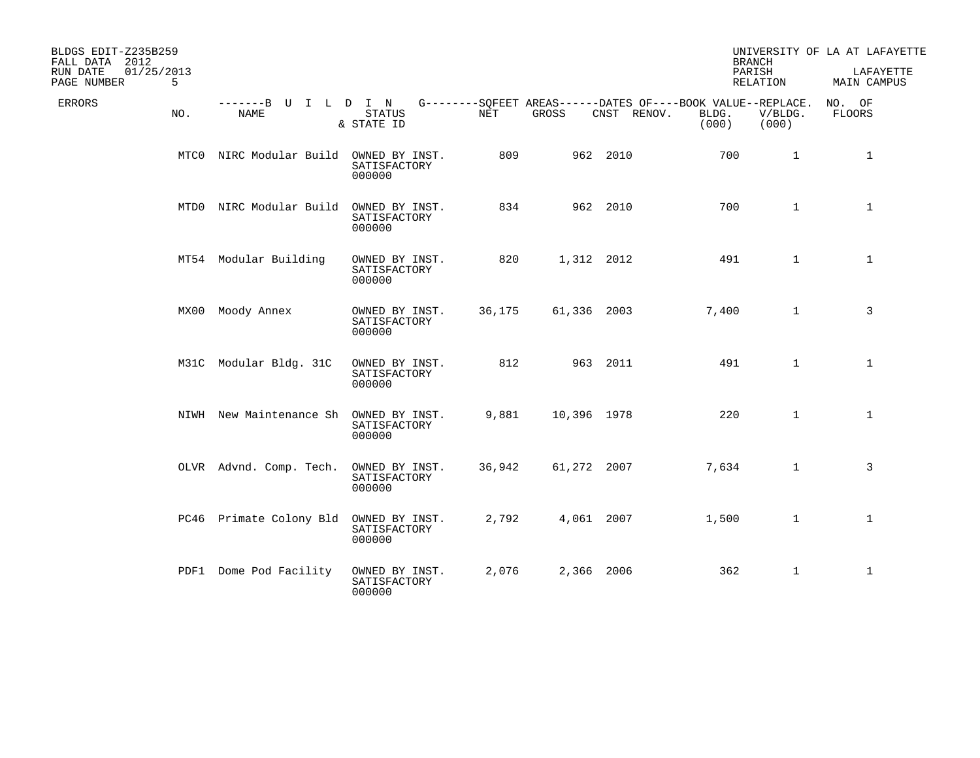| BLDGS EDIT-Z235B259<br>FALL DATA 2012      |                              |                                          |        |             |             | <b>BRANCH</b>                                                                 |                  | UNIVERSITY OF LA AT LAFAYETTE |
|--------------------------------------------|------------------------------|------------------------------------------|--------|-------------|-------------|-------------------------------------------------------------------------------|------------------|-------------------------------|
| 01/25/2013<br>RUN DATE<br>5<br>PAGE NUMBER |                              |                                          |        |             |             | PARISH<br>RELATION                                                            |                  | LAFAYETTE<br>MAIN CAMPUS      |
| ERRORS<br>NO.                              | -------B U I L D I N<br>NAME | <b>STATUS</b><br>& STATE ID              | NET    | GROSS       | CNST RENOV. | G--------SQFEET AREAS------DATES OF----BOOK VALUE--REPLACE.<br>BLDG.<br>(000) | V/BLDG.<br>(000) | NO. OF<br><b>FLOORS</b>       |
|                                            | MTCO NIRC Modular Build      | OWNED BY INST.<br>SATISFACTORY<br>000000 | 809    |             | 962 2010    | 700                                                                           | $\mathbf{1}$     | $\mathbf{1}$                  |
|                                            | MTD0 NIRC Modular Build      | OWNED BY INST.<br>SATISFACTORY<br>000000 | 834    |             | 962 2010    | 700                                                                           | $\mathbf{1}$     | $\mathbf{1}$                  |
|                                            | MT54 Modular Building        | OWNED BY INST.<br>SATISFACTORY<br>000000 | 820    | 1,312 2012  |             | 491                                                                           | $\mathbf{1}$     | $\mathbf{1}$                  |
|                                            | MX00 Moody Annex             | OWNED BY INST.<br>SATISFACTORY<br>000000 | 36,175 | 61,336 2003 |             | 7,400                                                                         | $\mathbf{1}$     | 3                             |
|                                            | M31C Modular Bldg. 31C       | OWNED BY INST.<br>SATISFACTORY<br>000000 | 812    |             | 963 2011    | 491                                                                           | $\mathbf{1}$     | $\mathbf{1}$                  |
|                                            | NIWH New Maintenance Sh      | OWNED BY INST.<br>SATISFACTORY<br>000000 | 9,881  | 10,396 1978 |             | 220                                                                           | $\mathbf{1}$     | $\mathbf{1}$                  |
|                                            | OLVR Advnd. Comp. Tech.      | OWNED BY INST.<br>SATISFACTORY<br>000000 | 36,942 | 61,272 2007 |             | 7,634                                                                         | $\mathbf{1}$     | 3                             |
|                                            | PC46 Primate Colony Bld      | OWNED BY INST.<br>SATISFACTORY<br>000000 | 2,792  | 4,061 2007  |             | 1,500                                                                         | $\mathbf{1}$     | $\mathbf 1$                   |
| PDF1                                       | Dome Pod Facility            | OWNED BY INST.<br>SATISFACTORY<br>000000 | 2,076  | 2,366 2006  |             | 362                                                                           | $\mathbf{1}$     | 1                             |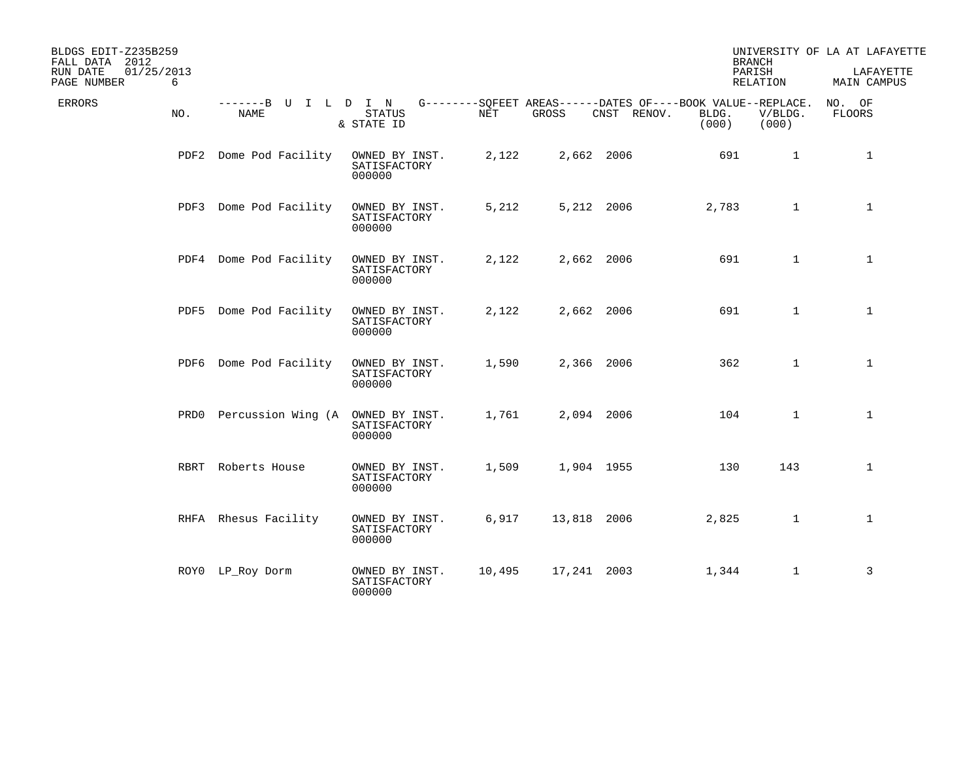| BLDGS EDIT-Z235B259<br>FALL DATA 2012      |                              |                                          |        |             |                                                                            | <b>BRANCH</b>  |                  | UNIVERSITY OF LA AT LAFAYETTE |
|--------------------------------------------|------------------------------|------------------------------------------|--------|-------------|----------------------------------------------------------------------------|----------------|------------------|-------------------------------|
| 01/25/2013<br>RUN DATE<br>PAGE NUMBER<br>6 |                              |                                          |        |             |                                                                            | PARISH         | RELATION         | LAFAYETTE<br>MAIN CAMPUS      |
| ERRORS<br>NO.                              | -------B U I L D I N<br>NAME | <b>STATUS</b><br>& STATE ID              | NET    | GROSS       | G--------SQFEET AREAS------DATES OF----BOOK VALUE--REPLACE.<br>CNST RENOV. | BLDG.<br>(000) | V/BLDG.<br>(000) | NO. OF<br>FLOORS              |
|                                            | PDF2 Dome Pod Facility       | OWNED BY INST.<br>SATISFACTORY<br>000000 | 2,122  | 2,662 2006  |                                                                            | 691            | $\mathbf{1}$     | $\mathbf{1}$                  |
|                                            | PDF3 Dome Pod Facility       | OWNED BY INST.<br>SATISFACTORY<br>000000 | 5,212  | 5,212 2006  |                                                                            | 2,783          | $\mathbf{1}$     | $\mathbf{1}$                  |
|                                            | PDF4 Dome Pod Facility       | OWNED BY INST.<br>SATISFACTORY<br>000000 | 2,122  | 2,662 2006  |                                                                            | 691            | $\mathbf{1}$     | $\mathbf{1}$                  |
|                                            | PDF5 Dome Pod Facility       | OWNED BY INST.<br>SATISFACTORY<br>000000 | 2,122  | 2,662 2006  |                                                                            | 691            | $\mathbf{1}$     | $\mathbf{1}$                  |
|                                            | PDF6 Dome Pod Facility       | OWNED BY INST.<br>SATISFACTORY<br>000000 | 1,590  | 2,366 2006  |                                                                            | 362            | $\mathbf{1}$     | $\mathbf{1}$                  |
|                                            | PRD0 Percussion Wing (A      | OWNED BY INST.<br>SATISFACTORY<br>000000 | 1,761  | 2,094 2006  |                                                                            | 104            | $\mathbf{1}$     | $\mathbf 1$                   |
|                                            | RBRT Roberts House           | OWNED BY INST.<br>SATISFACTORY<br>000000 | 1,509  | 1,904 1955  |                                                                            | 130            | 143              | $\mathbf{1}$                  |
|                                            | RHFA Rhesus Facility         | OWNED BY INST.<br>SATISFACTORY<br>000000 | 6,917  | 13,818 2006 |                                                                            | 2,825          | $\mathbf{1}$     | $\mathbf 1$                   |
|                                            | ROYO LP_Roy Dorm             | OWNED BY INST.<br>SATISFACTORY<br>000000 | 10,495 | 17,241 2003 |                                                                            | 1,344          | $\mathbf{1}$     | 3                             |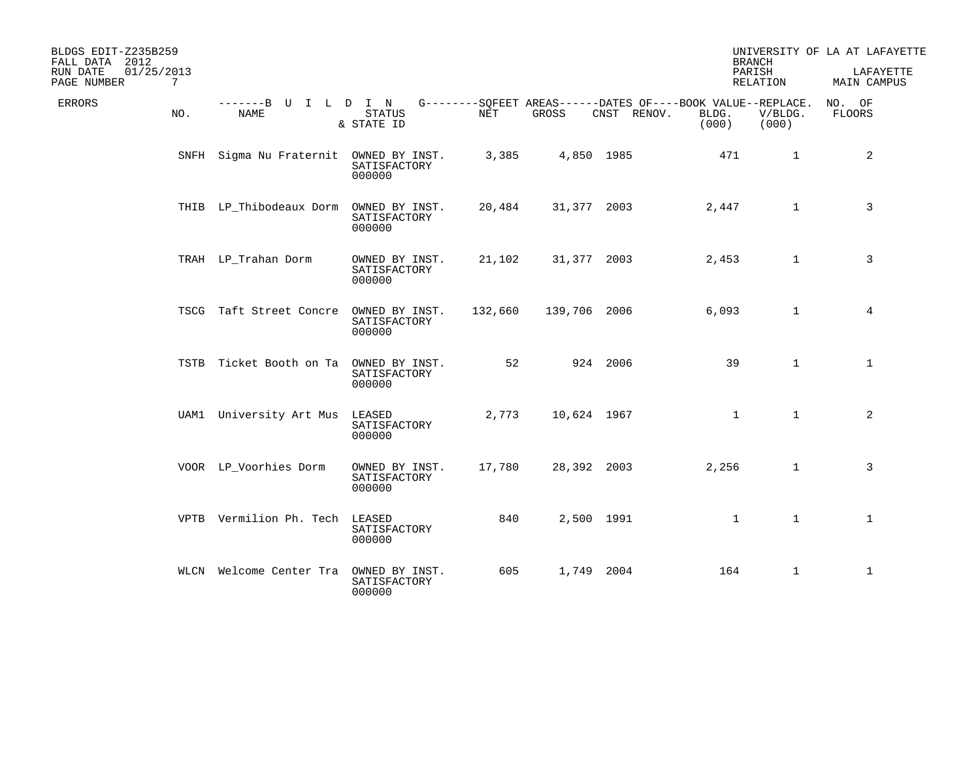| BLDGS EDIT-Z235B259<br>FALL DATA 2012<br>01/25/2013<br>RUN DATE<br>PAGE NUMBER | 7   |                                        |                                          |         |              |                                                                            | <b>BRANCH</b><br>PARISH | RELATION         | UNIVERSITY OF LA AT LAFAYETTE<br>LAFAYETTE<br>MAIN CAMPUS |
|--------------------------------------------------------------------------------|-----|----------------------------------------|------------------------------------------|---------|--------------|----------------------------------------------------------------------------|-------------------------|------------------|-----------------------------------------------------------|
| ERRORS                                                                         | NO. | -------B U I L D I N<br>NAME           | <b>STATUS</b><br>& STATE ID              | NET     | GROSS        | G--------SQFEET AREAS------DATES OF----BOOK VALUE--REPLACE.<br>CNST RENOV. | BLDG.<br>(000)          | V/BLDG.<br>(000) | NO. OF<br><b>FLOORS</b>                                   |
|                                                                                |     | SNFH Sigma Nu Fraternit OWNED BY INST. | SATISFACTORY<br>000000                   | 3,385   |              | 4,850 1985                                                                 | 471                     | $\mathbf{1}$     | 2                                                         |
|                                                                                |     | THIB LP_Thibodeaux Dorm                | OWNED BY INST.<br>SATISFACTORY<br>000000 | 20,484  | 31,377 2003  |                                                                            | 2,447                   | $\mathbf{1}$     | 3                                                         |
|                                                                                |     | TRAH LP_Trahan Dorm                    | OWNED BY INST.<br>SATISFACTORY<br>000000 | 21,102  | 31,377 2003  |                                                                            | 2,453                   | $\mathbf{1}$     | 3                                                         |
|                                                                                |     | TSCG Taft Street Concre                | OWNED BY INST.<br>SATISFACTORY<br>000000 | 132,660 | 139,706 2006 |                                                                            | 6,093                   | $\mathbf{1}$     | 4                                                         |
|                                                                                |     | TSTB Ticket Booth on Ta                | OWNED BY INST.<br>SATISFACTORY<br>000000 | 52      |              | 924 2006                                                                   | 39                      | $\mathbf{1}$     | $\mathbf{1}$                                              |
|                                                                                |     | UAM1 University Art Mus                | LEASED<br>SATISFACTORY<br>000000         | 2,773   | 10,624 1967  |                                                                            | $\mathbf{1}$            | $\mathbf{1}$     | 2                                                         |
|                                                                                |     | VOOR LP_Voorhies Dorm                  | OWNED BY INST.<br>SATISFACTORY<br>000000 | 17,780  | 28,392 2003  |                                                                            | 2,256                   | $\mathbf{1}$     | 3                                                         |
|                                                                                |     | VPTB Vermilion Ph. Tech                | LEASED<br>SATISFACTORY<br>000000         | 840     |              | 2,500 1991                                                                 | $\mathbf{1}$            | $\mathbf{1}$     | $\mathbf{1}$                                              |
|                                                                                |     | WLCN Welcome Center Tra                | OWNED BY INST.<br>SATISFACTORY<br>000000 | 605     |              | 1,749 2004                                                                 | 164                     | $\mathbf{1}$     | $\mathbf 1$                                               |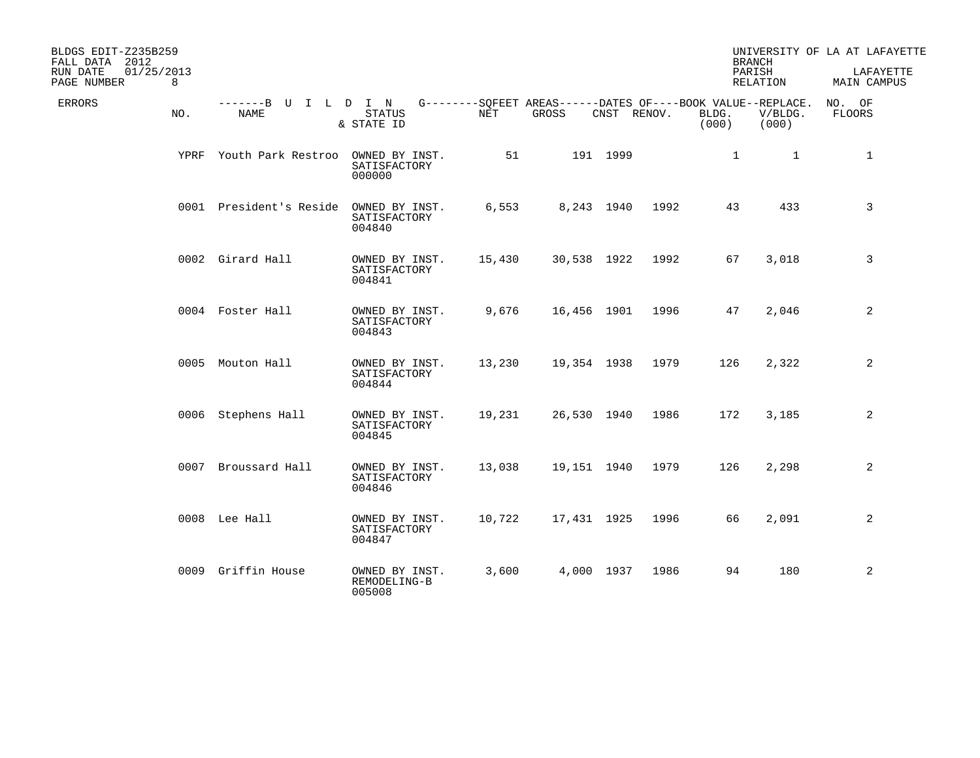| BLDGS EDIT-Z235B259<br>FALL DATA 2012<br>RUN DATE<br>01/25/2013 |      |                                     |                                          |        |                                                                      |             |      |                | <b>BRANCH</b><br>PARISH | UNIVERSITY OF LA AT LAFAYETTE<br>LAFAYETTE |
|-----------------------------------------------------------------|------|-------------------------------------|------------------------------------------|--------|----------------------------------------------------------------------|-------------|------|----------------|-------------------------|--------------------------------------------|
| PAGE NUMBER                                                     | 8    |                                     |                                          |        |                                                                      |             |      |                | RELATION                | MAIN CAMPUS                                |
| ERRORS                                                          | NO.  | -------B U I L D I N<br><b>NAME</b> | <b>STATUS</b><br>& STATE ID              | NET    | G--------SOFEET AREAS------DATES OF----BOOK VALUE--REPLACE.<br>GROSS | CNST RENOV. |      | BLDG.<br>(000) | V/BLDG.<br>(000)        | NO. OF<br>FLOORS                           |
|                                                                 | YPRF | Youth Park Restroo                  | OWNED BY INST.<br>SATISFACTORY<br>000000 | 51     |                                                                      | 191 1999    |      | $\mathbf 1$    | $\mathbf{1}$            | $\mathbf{1}$                               |
|                                                                 |      | 0001 President's Reside             | OWNED BY INST.<br>SATISFACTORY<br>004840 | 6,553  |                                                                      | 8,243 1940  | 1992 | 43             | 433                     | 3                                          |
|                                                                 |      | 0002 Girard Hall                    | OWNED BY INST.<br>SATISFACTORY<br>004841 | 15,430 | 30,538 1922                                                          |             | 1992 | 67             | 3,018                   | 3                                          |
|                                                                 |      | 0004 Foster Hall                    | OWNED BY INST.<br>SATISFACTORY<br>004843 | 9,676  | 16,456 1901                                                          |             | 1996 | 47             | 2,046                   | 2                                          |
|                                                                 |      | 0005 Mouton Hall                    | OWNED BY INST.<br>SATISFACTORY<br>004844 | 13,230 | 19,354 1938                                                          |             | 1979 | 126            | 2,322                   | 2                                          |
|                                                                 |      | 0006 Stephens Hall                  | OWNED BY INST.<br>SATISFACTORY<br>004845 | 19,231 | 26,530 1940                                                          |             | 1986 | 172            | 3,185                   | 2                                          |
|                                                                 |      | 0007 Broussard Hall                 | OWNED BY INST.<br>SATISFACTORY<br>004846 | 13,038 | 19,151 1940                                                          |             | 1979 | 126            | 2,298                   | 2                                          |
|                                                                 |      | 0008 Lee Hall                       | OWNED BY INST.<br>SATISFACTORY<br>004847 | 10,722 | 17,431 1925                                                          |             | 1996 | 66             | 2,091                   | 2                                          |
|                                                                 |      | 0009 Griffin House                  | OWNED BY INST.<br>REMODELING-B<br>005008 | 3,600  |                                                                      | 4,000 1937  | 1986 | 94             | 180                     | 2                                          |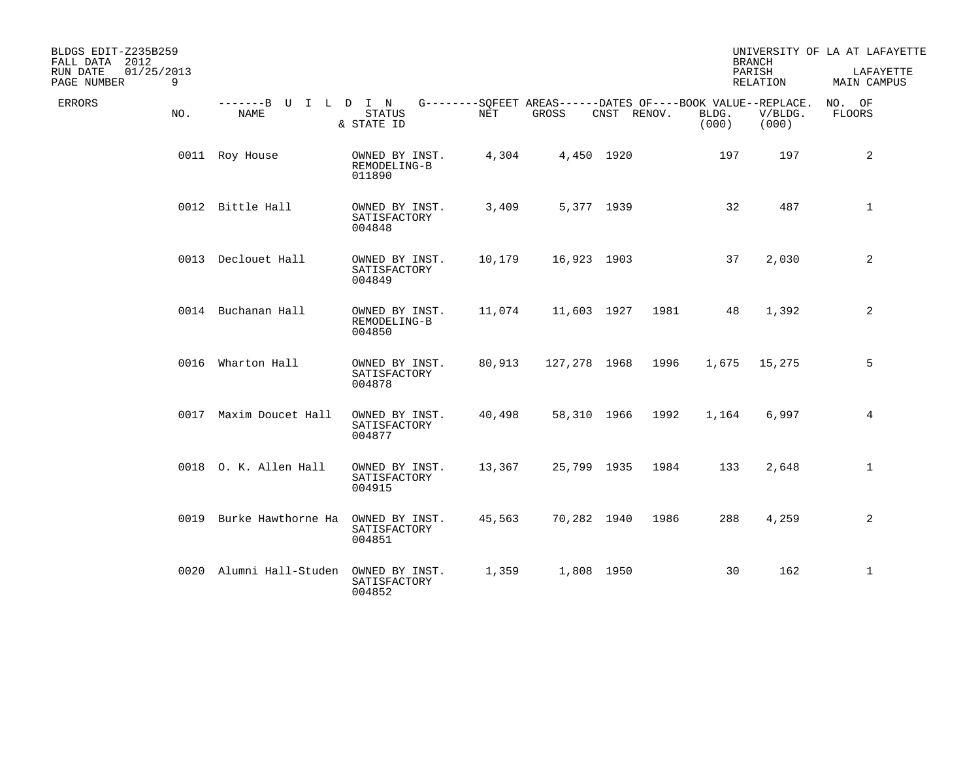| BLDGS EDIT-Z235B259<br>FALL DATA 2012<br>01/25/2013<br>RUN DATE<br>9<br>PAGE NUMBER |                                     |                                          |        |                                                                      |             |      |                | <b>BRANCH</b><br>PARISH<br>RELATION | UNIVERSITY OF LA AT LAFAYETTE<br>LAFAYETTE<br>MAIN CAMPUS |
|-------------------------------------------------------------------------------------|-------------------------------------|------------------------------------------|--------|----------------------------------------------------------------------|-------------|------|----------------|-------------------------------------|-----------------------------------------------------------|
| ERRORS<br>NO.                                                                       | -------B U I L D I N<br><b>NAME</b> | <b>STATUS</b><br>& STATE ID              | NET    | G--------SQFEET AREAS------DATES OF----BOOK VALUE--REPLACE.<br>GROSS | CNST RENOV. |      | BLDG.<br>(000) | V/BLDG.<br>(000)                    | NO. OF<br><b>FLOORS</b>                                   |
|                                                                                     | 0011 Roy House                      | OWNED BY INST.<br>REMODELING-B<br>011890 | 4,304  |                                                                      | 4,450 1920  |      | 197            | 197                                 | 2                                                         |
|                                                                                     | 0012 Bittle Hall                    | OWNED BY INST.<br>SATISFACTORY<br>004848 | 3,409  |                                                                      | 5,377 1939  |      | 32             | 487                                 | $\mathbf{1}$                                              |
|                                                                                     | 0013 Declouet Hall                  | OWNED BY INST.<br>SATISFACTORY<br>004849 | 10,179 | 16,923 1903                                                          |             |      | 37             | 2,030                               | 2                                                         |
|                                                                                     | 0014 Buchanan Hall                  | OWNED BY INST.<br>REMODELING-B<br>004850 | 11,074 | 11,603 1927                                                          |             | 1981 | 48             | 1,392                               | 2                                                         |
|                                                                                     | 0016 Wharton Hall                   | OWNED BY INST.<br>SATISFACTORY<br>004878 | 80,913 | 127,278 1968                                                         |             | 1996 | 1,675          | 15,275                              | 5                                                         |
|                                                                                     | 0017 Maxim Doucet Hall              | OWNED BY INST.<br>SATISFACTORY<br>004877 | 40,498 | 58,310 1966                                                          |             | 1992 | 1,164          | 6,997                               | 4                                                         |
|                                                                                     | 0018 O. K. Allen Hall               | OWNED BY INST.<br>SATISFACTORY<br>004915 | 13,367 | 25,799 1935                                                          |             | 1984 | 133            | 2,648                               | $\mathbf{1}$                                              |
|                                                                                     | 0019 Burke Hawthorne Ha             | OWNED BY INST.<br>SATISFACTORY<br>004851 | 45,563 | 70,282 1940                                                          |             | 1986 | 288            | 4,259                               | 2                                                         |
|                                                                                     | 0020 Alumni Hall-Studen             | OWNED BY INST.<br>SATISFACTORY<br>004852 | 1,359  |                                                                      | 1,808 1950  |      | 30             | 162                                 | $\mathbf{1}$                                              |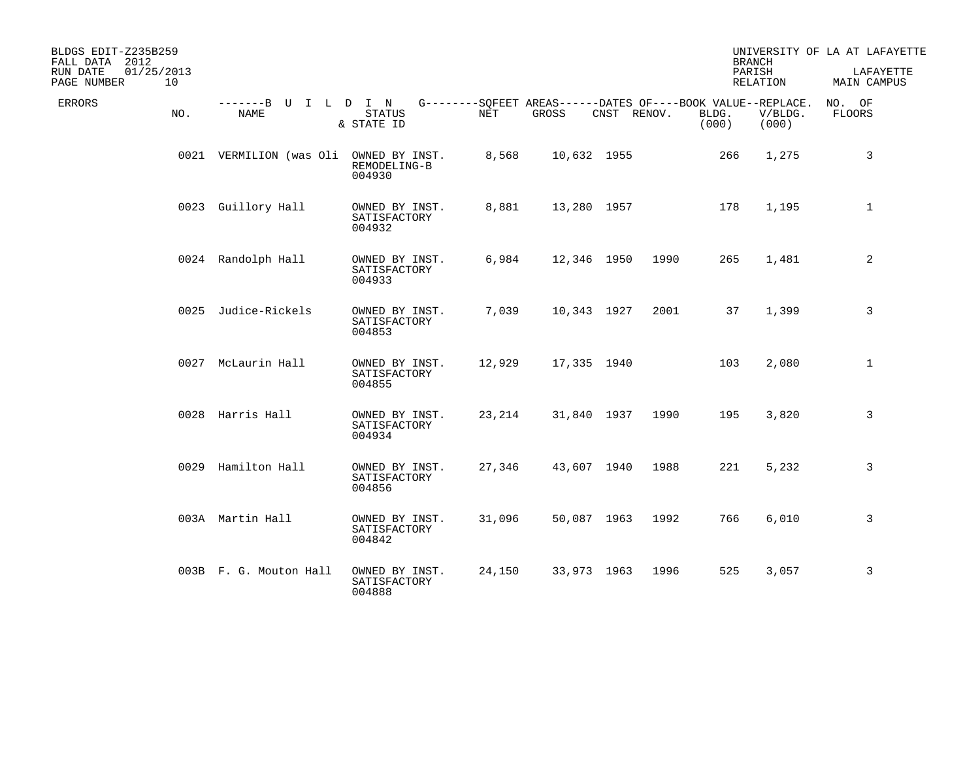| BLDGS EDIT-Z235B259<br>FALL DATA 2012<br>RUN DATE<br>01/25/2013<br>10<br>PAGE NUMBER |                              |                                          |        |                                                                      |             |      |                | <b>BRANCH</b><br>PARISH<br>RELATION | UNIVERSITY OF LA AT LAFAYETTE<br>LAFAYETTE<br>MAIN CAMPUS |
|--------------------------------------------------------------------------------------|------------------------------|------------------------------------------|--------|----------------------------------------------------------------------|-------------|------|----------------|-------------------------------------|-----------------------------------------------------------|
| ERRORS<br>NO.                                                                        | -------B U I L D I N<br>NAME | <b>STATUS</b><br>& STATE ID              | NET    | G--------SQFEET AREAS------DATES OF----BOOK VALUE--REPLACE.<br>GROSS | CNST RENOV. |      | BLDG.<br>(000) | V/BLDG.<br>(000)                    | NO. OF<br><b>FLOORS</b>                                   |
|                                                                                      | 0021 VERMILION (was Oli      | OWNED BY INST.<br>REMODELING-B<br>004930 | 8,568  | 10,632 1955                                                          |             |      | 266            | 1,275                               | 3                                                         |
|                                                                                      | 0023 Guillory Hall           | OWNED BY INST.<br>SATISFACTORY<br>004932 | 8,881  | 13,280 1957                                                          |             |      | 178            | 1,195                               | $\mathbf{1}$                                              |
|                                                                                      | 0024 Randolph Hall           | OWNED BY INST.<br>SATISFACTORY<br>004933 | 6,984  | 12,346 1950                                                          |             | 1990 | 265            | 1,481                               | 2                                                         |
|                                                                                      | 0025 Judice-Rickels          | OWNED BY INST.<br>SATISFACTORY<br>004853 | 7,039  | 10,343 1927                                                          |             | 2001 | 37             | 1,399                               | 3                                                         |
|                                                                                      | 0027 McLaurin Hall           | OWNED BY INST.<br>SATISFACTORY<br>004855 | 12,929 | 17,335 1940                                                          |             |      | 103            | 2,080                               | $\mathbf{1}$                                              |
|                                                                                      | 0028 Harris Hall             | OWNED BY INST.<br>SATISFACTORY<br>004934 | 23,214 | 31,840 1937                                                          |             | 1990 | 195            | 3,820                               | 3                                                         |
|                                                                                      | 0029 Hamilton Hall           | OWNED BY INST.<br>SATISFACTORY<br>004856 | 27,346 | 43,607 1940                                                          |             | 1988 | 221            | 5,232                               | 3                                                         |
|                                                                                      | 003A Martin Hall             | OWNED BY INST.<br>SATISFACTORY<br>004842 | 31,096 | 50,087 1963                                                          |             | 1992 | 766            | 6,010                               | 3                                                         |
|                                                                                      | 003B F. G. Mouton Hall       | OWNED BY INST.<br>SATISFACTORY<br>004888 | 24,150 | 33,973 1963                                                          |             | 1996 | 525            | 3,057                               | 3                                                         |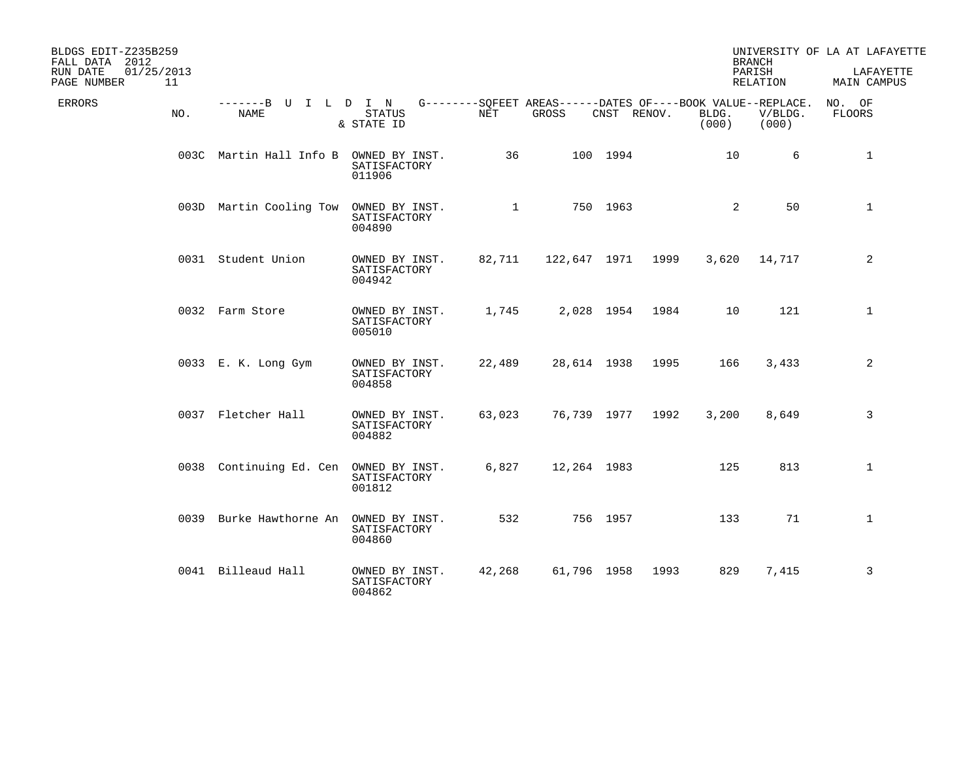| BLDGS EDIT-Z235B259<br>FALL DATA 2012<br>RUN DATE<br>01/25/2013<br>PAGE NUMBER | 11  |                              |                                          |              |                                                                      |             |      |                 | <b>BRANCH</b><br>PARISH<br>RELATION | UNIVERSITY OF LA AT LAFAYETTE<br>LAFAYETTE<br>MAIN CAMPUS |
|--------------------------------------------------------------------------------|-----|------------------------------|------------------------------------------|--------------|----------------------------------------------------------------------|-------------|------|-----------------|-------------------------------------|-----------------------------------------------------------|
| ERRORS                                                                         | NO. | -------B U I L D I N<br>NAME | <b>STATUS</b><br>& STATE ID              | NET          | G--------SOFEET AREAS------DATES OF----BOOK VALUE--REPLACE.<br>GROSS | CNST RENOV. |      | BLDG.<br>(000)  | V/BLDG.<br>(000)                    | NO. OF<br>FLOORS                                          |
|                                                                                |     | 003C Martin Hall Info B      | OWNED BY INST.<br>SATISFACTORY<br>011906 | 36           |                                                                      | 100 1994    |      | 10 <sup>°</sup> | 6                                   | 1                                                         |
|                                                                                |     | 003D Martin Cooling Tow      | OWNED BY INST.<br>SATISFACTORY<br>004890 | $\mathbf{1}$ |                                                                      | 750 1963    |      | 2               | 50                                  | $\mathbf{1}$                                              |
|                                                                                |     | 0031 Student Union           | OWNED BY INST.<br>SATISFACTORY<br>004942 | 82,711       | 122,647 1971 1999                                                    |             |      | 3,620           | 14,717                              | 2                                                         |
|                                                                                |     | 0032 Farm Store              | OWNED BY INST.<br>SATISFACTORY<br>005010 | 1,745        |                                                                      | 2,028 1954  | 1984 | 10 <sup>°</sup> | 121                                 | $\mathbf{1}$                                              |
|                                                                                |     | 0033 E. K. Long Gym          | OWNED BY INST.<br>SATISFACTORY<br>004858 | 22,489       | 28,614 1938                                                          |             | 1995 | 166             | 3,433                               | 2                                                         |
|                                                                                |     | 0037 Fletcher Hall           | OWNED BY INST.<br>SATISFACTORY<br>004882 | 63,023       | 76,739 1977                                                          |             | 1992 | 3,200           | 8,649                               | 3                                                         |
|                                                                                |     | 0038 Continuing Ed. Cen      | OWNED BY INST.<br>SATISFACTORY<br>001812 | 6,827        | 12,264 1983                                                          |             |      | 125             | 813                                 | $\mathbf{1}$                                              |
|                                                                                |     | 0039 Burke Hawthorne An      | OWNED BY INST.<br>SATISFACTORY<br>004860 | 532          |                                                                      | 756 1957    |      | 133             | 71                                  | $\mathbf{1}$                                              |
|                                                                                |     | 0041 Billeaud Hall           | OWNED BY INST.<br>SATISFACTORY<br>004862 | 42,268       | 61,796 1958                                                          |             | 1993 | 829             | 7,415                               | 3                                                         |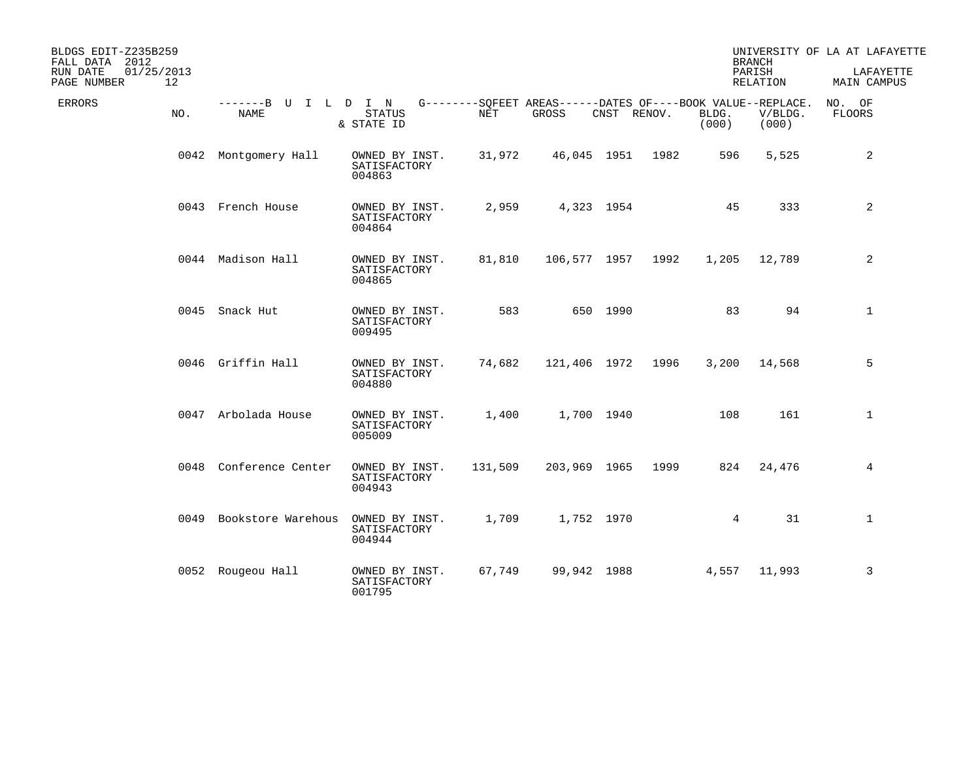| BLDGS EDIT-Z235B259<br>FALL DATA 2012       |                                     |                                          |            |                                                                      |             |                  |                 | <b>BRANCH</b>      | UNIVERSITY OF LA AT LAFAYETTE |
|---------------------------------------------|-------------------------------------|------------------------------------------|------------|----------------------------------------------------------------------|-------------|------------------|-----------------|--------------------|-------------------------------|
| RUN DATE<br>01/25/2013<br>12<br>PAGE NUMBER |                                     |                                          |            |                                                                      |             |                  |                 | PARISH<br>RELATION | LAFAYETTE<br>MAIN CAMPUS      |
| <b>ERRORS</b><br>NO.                        | -------B U I L D I N<br><b>NAME</b> | <b>STATUS</b><br>& STATE ID              | <b>NET</b> | G--------SQFEET AREAS------DATES OF----BOOK VALUE--REPLACE.<br>GROSS | CNST RENOV. |                  | BLDG.<br>(000)  | V/BLDG.<br>(000)   | NO. OF<br><b>FLOORS</b>       |
|                                             | 0042 Montgomery Hall                | OWNED BY INST.<br>SATISFACTORY<br>004863 | 31,972     |                                                                      |             | 46,045 1951 1982 | 596             | 5,525              | 2                             |
|                                             | 0043 French House                   | OWNED BY INST.<br>SATISFACTORY<br>004864 | 2,959      |                                                                      | 4,323 1954  |                  | 45              | 333                | $\overline{a}$                |
|                                             | 0044 Madison Hall                   | OWNED BY INST.<br>SATISFACTORY<br>004865 | 81,810     | 106,577 1957                                                         |             | 1992             | 1,205           | 12,789             | 2                             |
|                                             | 0045 Snack Hut                      | OWNED BY INST.<br>SATISFACTORY<br>009495 | 583        |                                                                      | 650 1990    |                  | 83              | 94                 | $\mathbf{1}$                  |
|                                             | 0046 Griffin Hall                   | OWNED BY INST.<br>SATISFACTORY<br>004880 | 74,682     | 121,406 1972                                                         |             | 1996             | 3,200           | 14,568             | 5                             |
|                                             | 0047 Arbolada House                 | OWNED BY INST.<br>SATISFACTORY<br>005009 | 1,400      |                                                                      | 1,700 1940  |                  | 108             | 161                | $\mathbf{1}$                  |
|                                             | 0048 Conference Center              | OWNED BY INST.<br>SATISFACTORY<br>004943 | 131,509    | 203,969 1965                                                         |             | 1999             | 824             | 24,476             | 4                             |
|                                             | 0049 Bookstore Warehous             | OWNED BY INST.<br>SATISFACTORY<br>004944 | 1,709      |                                                                      | 1,752 1970  |                  | $4\overline{ }$ | 31                 | $\mathbf 1$                   |
|                                             | 0052 Rougeou Hall                   | OWNED BY INST.<br>SATISFACTORY<br>001795 | 67,749     | 99,942 1988                                                          |             |                  | 4,557           | 11,993             | 3                             |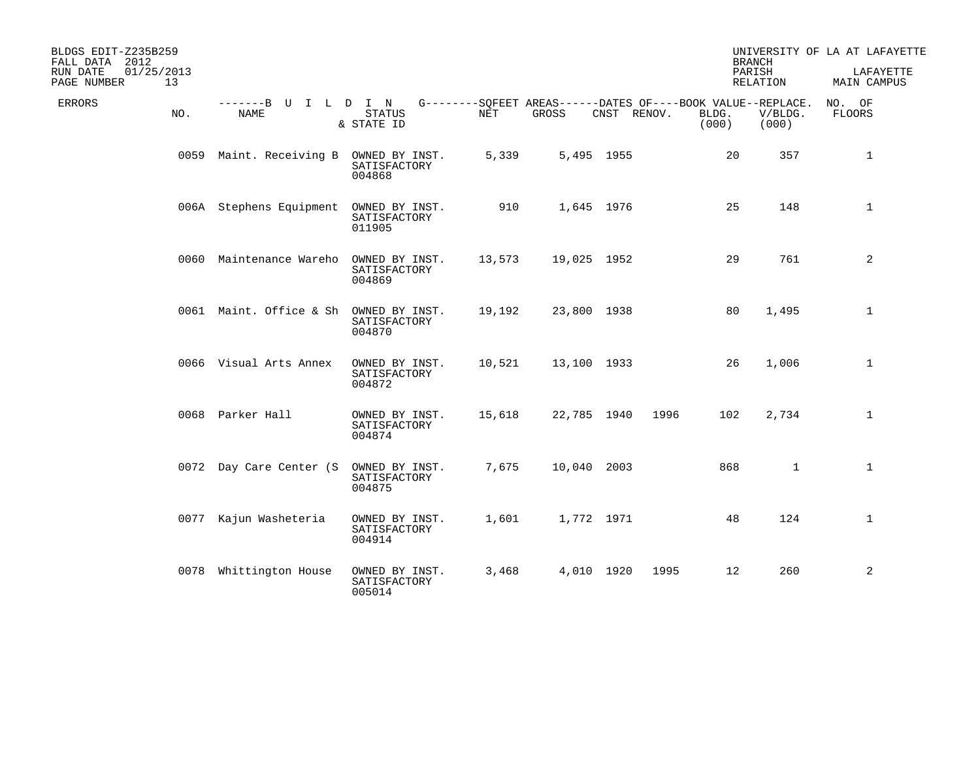| BLDGS EDIT-Z235B259<br>FALL DATA 2012<br>01/25/2013<br>RUN DATE<br>13<br>PAGE NUMBER |                              |                                          |        |             |             |                | <b>BRANCH</b><br>PARISH<br>RELATION                                             | UNIVERSITY OF LA AT LAFAYETTE<br>LAFAYETTE<br>MAIN CAMPUS |
|--------------------------------------------------------------------------------------|------------------------------|------------------------------------------|--------|-------------|-------------|----------------|---------------------------------------------------------------------------------|-----------------------------------------------------------|
| ERRORS<br>NO.                                                                        | -------B U I L D I N<br>NAME | <b>STATUS</b><br>& STATE ID              | NET    | GROSS       | CNST RENOV. | BLDG.<br>(000) | G--------SQFEET AREAS------DATES OF----BOOK VALUE--REPLACE.<br>V/BLDG.<br>(000) | NO. OF<br><b>FLOORS</b>                                   |
|                                                                                      | 0059 Maint. Receiving B      | OWNED BY INST.<br>SATISFACTORY<br>004868 | 5,339  |             | 5,495 1955  |                | 20<br>357                                                                       | $\mathbf{1}$                                              |
|                                                                                      | 006A Stephens Equipment      | OWNED BY INST.<br>SATISFACTORY<br>011905 | 910    |             | 1,645 1976  |                | 25<br>148                                                                       | $\mathbf{1}$                                              |
|                                                                                      | 0060 Maintenance Wareho      | OWNED BY INST.<br>SATISFACTORY<br>004869 | 13,573 | 19,025 1952 |             |                | 29<br>761                                                                       | 2                                                         |
|                                                                                      | 0061 Maint. Office & Sh      | OWNED BY INST.<br>SATISFACTORY<br>004870 | 19,192 | 23,800 1938 |             |                | 80<br>1,495                                                                     | 1                                                         |
|                                                                                      | 0066 Visual Arts Annex       | OWNED BY INST.<br>SATISFACTORY<br>004872 | 10,521 | 13,100 1933 |             |                | 26<br>1,006                                                                     | $\mathbf{1}$                                              |
|                                                                                      | 0068 Parker Hall             | OWNED BY INST.<br>SATISFACTORY<br>004874 | 15,618 | 22,785 1940 |             | 1996           | 102<br>2,734                                                                    | $\mathbf{1}$                                              |
|                                                                                      | 0072 Day Care Center (S      | OWNED BY INST.<br>SATISFACTORY<br>004875 | 7,675  | 10,040 2003 |             |                | $\mathbf{1}$<br>868                                                             | $\mathbf{1}$                                              |
|                                                                                      | 0077 Kajun Washeteria        | OWNED BY INST.<br>SATISFACTORY<br>004914 | 1,601  |             | 1,772 1971  |                | 124<br>48                                                                       | $\mathbf 1$                                               |
|                                                                                      | 0078 Whittington House       | OWNED BY INST.<br>SATISFACTORY<br>005014 | 3,468  |             | 4,010 1920  | 1995           | 12<br>260                                                                       | 2                                                         |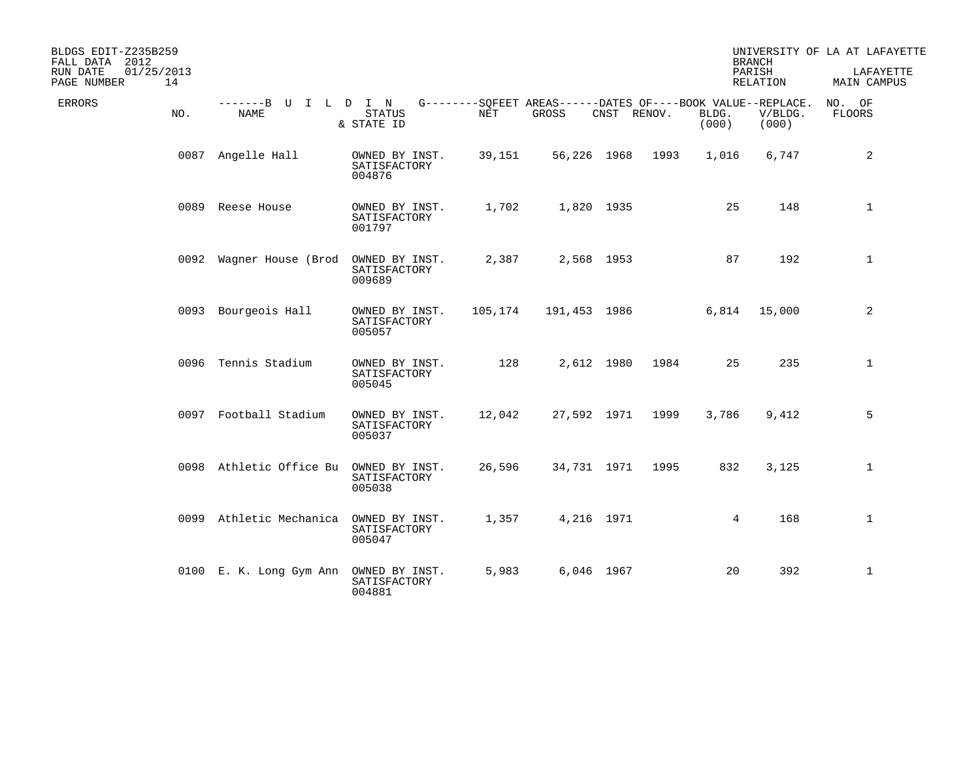| BLDGS EDIT-Z235B259<br>FALL DATA 2012<br>01/25/2013<br>RUN DATE<br>14<br>PAGE NUMBER |                                     |                                          |         |                                                                      |             |      |                | <b>BRANCH</b><br>PARISH<br>RELATION | UNIVERSITY OF LA AT LAFAYETTE<br>LAFAYETTE<br>MAIN CAMPUS |
|--------------------------------------------------------------------------------------|-------------------------------------|------------------------------------------|---------|----------------------------------------------------------------------|-------------|------|----------------|-------------------------------------|-----------------------------------------------------------|
| <b>ERRORS</b><br>NO.                                                                 | -------B U I L D I N<br><b>NAME</b> | <b>STATUS</b><br>& STATE ID              | NET     | G--------SQFEET AREAS------DATES OF----BOOK VALUE--REPLACE.<br>GROSS | CNST RENOV. |      | BLDG.<br>(000) | V/BLDG.<br>(000)                    | NO. OF<br>FLOORS                                          |
|                                                                                      | 0087 Angelle Hall                   | OWNED BY INST.<br>SATISFACTORY<br>004876 | 39,151  |                                                                      | 56,226 1968 | 1993 | 1,016          | 6,747                               | 2                                                         |
|                                                                                      | 0089 Reese House                    | OWNED BY INST.<br>SATISFACTORY<br>001797 | 1,702   |                                                                      | 1,820 1935  |      | 25             | 148                                 | $\mathbf{1}$                                              |
|                                                                                      | 0092 Waqner House (Brod             | OWNED BY INST.<br>SATISFACTORY<br>009689 | 2,387   |                                                                      | 2,568 1953  |      | 87             | 192                                 | $\mathbf{1}$                                              |
|                                                                                      | 0093 Bourgeois Hall                 | OWNED BY INST.<br>SATISFACTORY<br>005057 | 105,174 | 191,453 1986                                                         |             |      | 6,814          | 15,000                              | 2                                                         |
|                                                                                      | 0096 Tennis Stadium                 | OWNED BY INST.<br>SATISFACTORY<br>005045 | 128     |                                                                      | 2,612 1980  | 1984 | 25             | 235                                 | $\mathbf{1}$                                              |
|                                                                                      | 0097 Football Stadium               | OWNED BY INST.<br>SATISFACTORY<br>005037 | 12,042  |                                                                      | 27,592 1971 | 1999 | 3,786          | 9,412                               | 5                                                         |
|                                                                                      | 0098 Athletic Office Bu             | OWNED BY INST.<br>SATISFACTORY<br>005038 | 26,596  |                                                                      | 34,731 1971 | 1995 | 832            | 3,125                               | $\mathbf{1}$                                              |
|                                                                                      | 0099 Athletic Mechanica             | OWNED BY INST.<br>SATISFACTORY<br>005047 | 1,357   |                                                                      | 4,216 1971  |      | 4              | 168                                 | $\mathbf{1}$                                              |
|                                                                                      | 0100 E. K. Long Gym Ann             | OWNED BY INST.<br>SATISFACTORY<br>004881 | 5,983   |                                                                      | 6,046 1967  |      | 20             | 392                                 | $\mathbf{1}$                                              |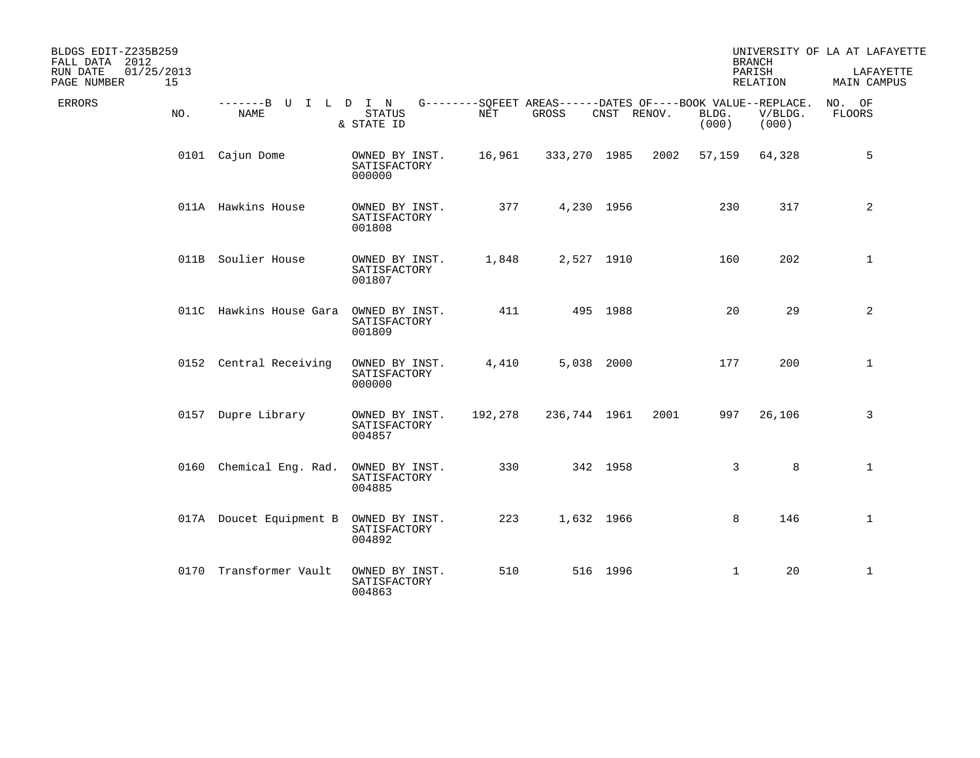| BLDGS EDIT-Z235B259<br>FALL DATA 2012<br>01/25/2013<br>RUN DATE<br>15<br>PAGE NUMBER |                                     |                                          |         |                                                                      |             |      |                | <b>BRANCH</b><br>PARISH<br><b>RELATION</b> | UNIVERSITY OF LA AT LAFAYETTE<br>LAFAYETTE<br>MAIN CAMPUS |
|--------------------------------------------------------------------------------------|-------------------------------------|------------------------------------------|---------|----------------------------------------------------------------------|-------------|------|----------------|--------------------------------------------|-----------------------------------------------------------|
| <b>ERRORS</b><br>NO.                                                                 | -------B U I L D I N<br><b>NAME</b> | <b>STATUS</b><br>& STATE ID              | NET     | G--------SQFEET AREAS------DATES OF----BOOK VALUE--REPLACE.<br>GROSS | CNST RENOV. |      | BLDG.<br>(000) | V/BLDG.<br>(000)                           | NO. OF<br>FLOORS                                          |
|                                                                                      | 0101 Cajun Dome                     | OWNED BY INST.<br>SATISFACTORY<br>000000 | 16,961  | 333,270 1985                                                         |             | 2002 | 57,159         | 64,328                                     | 5                                                         |
|                                                                                      | 011A Hawkins House                  | OWNED BY INST.<br>SATISFACTORY<br>001808 | 377     |                                                                      | 4,230 1956  |      | 230            | 317                                        | $\overline{a}$                                            |
|                                                                                      | 011B Soulier House                  | OWNED BY INST.<br>SATISFACTORY<br>001807 | 1,848   |                                                                      | 2,527 1910  |      | 160            | 202                                        | $\mathbf{1}$                                              |
|                                                                                      | 011C Hawkins House Gara             | OWNED BY INST.<br>SATISFACTORY<br>001809 | 411     |                                                                      | 495 1988    |      | 20             | 29                                         | $\overline{a}$                                            |
|                                                                                      | 0152 Central Receiving              | OWNED BY INST.<br>SATISFACTORY<br>000000 | 4,410   |                                                                      | 5,038 2000  |      | 177            | 200                                        | $\mathbf{1}$                                              |
|                                                                                      | 0157 Dupre Library                  | OWNED BY INST.<br>SATISFACTORY<br>004857 | 192,278 | 236,744 1961                                                         |             | 2001 | 997            | 26,106                                     | 3                                                         |
|                                                                                      | 0160 Chemical Eng. Rad.             | OWNED BY INST.<br>SATISFACTORY<br>004885 | 330     |                                                                      | 342 1958    |      | 3              | 8                                          | $\mathbf{1}$                                              |
|                                                                                      | 017A Doucet Equipment B             | OWNED BY INST.<br>SATISFACTORY<br>004892 | 223     |                                                                      | 1,632 1966  |      | 8              | 146                                        | $\mathbf{1}$                                              |
|                                                                                      | 0170 Transformer Vault              | OWNED BY INST.<br>SATISFACTORY<br>004863 | 510     |                                                                      | 516 1996    |      | $\mathbf 1$    | 20                                         | $\mathbf{1}$                                              |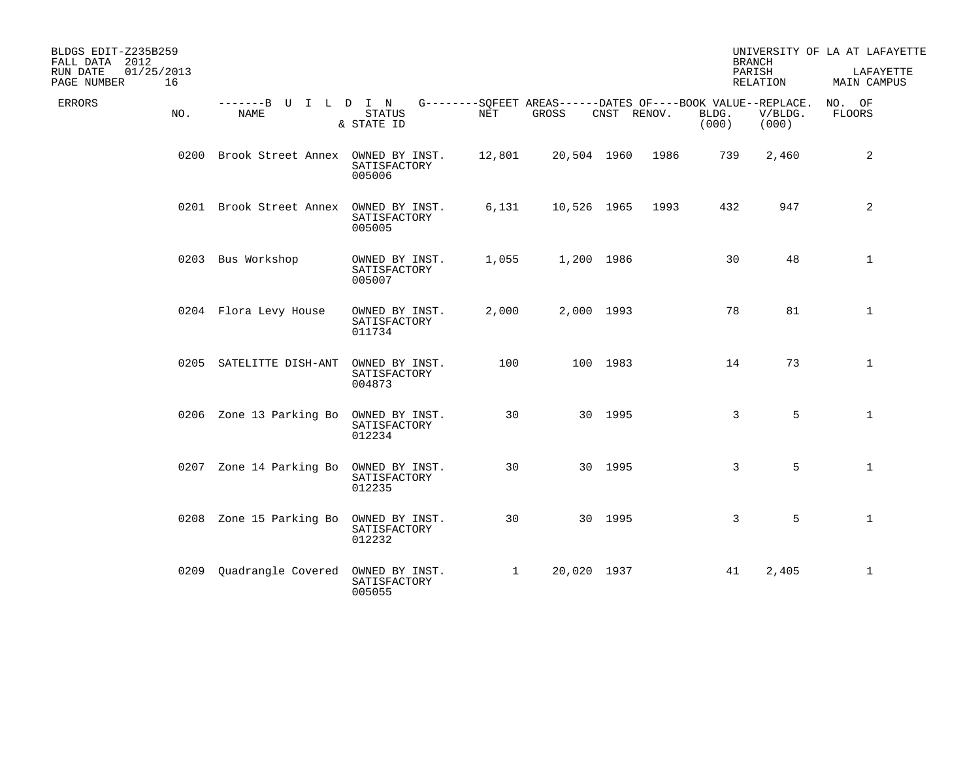| BLDGS EDIT-Z235B259<br>FALL DATA 2012<br>01/25/2013<br>RUN DATE |                                        |                                          |              |                                                                   |             |      | <b>BRANCH</b>  | PARISH           | UNIVERSITY OF LA AT LAFAYETTE<br>LAFAYETTE |
|-----------------------------------------------------------------|----------------------------------------|------------------------------------------|--------------|-------------------------------------------------------------------|-------------|------|----------------|------------------|--------------------------------------------|
| 16<br>PAGE NUMBER                                               |                                        |                                          |              |                                                                   |             |      |                | RELATION         | MAIN CAMPUS                                |
| ERRORS<br>NO.                                                   | -------B U I L D I N<br><b>NAME</b>    | <b>STATUS</b><br>& STATE ID              | <b>NET</b>   | $G------SOFEET AREAS----DATES OF---BOOK VALUE--REPLACE.$<br>GROSS | CNST RENOV. |      | BLDG.<br>(000) | V/BLDG.<br>(000) | NO. OF<br><b>FLOORS</b>                    |
|                                                                 | 0200 Brook Street Annex OWNED BY INST. | SATISFACTORY<br>005006                   | 12,801       | 20,504 1960                                                       |             | 1986 | 739            | 2,460            | 2                                          |
|                                                                 | 0201 Brook Street Annex                | OWNED BY INST.<br>SATISFACTORY<br>005005 | 6,131        | 10,526 1965                                                       |             | 1993 | 432            | 947              | 2                                          |
|                                                                 | 0203 Bus Workshop                      | OWNED BY INST.<br>SATISFACTORY<br>005007 | 1,055        |                                                                   | 1,200 1986  |      | 30             | 48               | $\mathbf{1}$                               |
|                                                                 | 0204 Flora Levy House                  | OWNED BY INST.<br>SATISFACTORY<br>011734 | 2,000        |                                                                   | 2,000 1993  |      | 78             | 81               | $\mathbf{1}$                               |
|                                                                 | 0205 SATELITTE DISH-ANT                | OWNED BY INST.<br>SATISFACTORY<br>004873 | 100          |                                                                   | 100 1983    |      | 14             | 73               | $\mathbf{1}$                               |
|                                                                 | 0206 Zone 13 Parking Bo                | OWNED BY INST.<br>SATISFACTORY<br>012234 | 30           |                                                                   | 30 1995     |      | 3              | 5                | $\mathbf{1}$                               |
| 0207                                                            | Zone 14 Parking Bo                     | OWNED BY INST.<br>SATISFACTORY<br>012235 | 30           |                                                                   | 30 1995     |      | 3              | 5                | $\mathbf{1}$                               |
|                                                                 | 0208 Zone 15 Parking Bo                | OWNED BY INST.<br>SATISFACTORY<br>012232 | 30           |                                                                   | 30 1995     |      | 3              | 5                | $\mathbf{1}$                               |
|                                                                 | 0209 Quadrangle Covered                | OWNED BY INST.<br>SATISFACTORY<br>005055 | $\mathbf{1}$ | 20,020 1937                                                       |             |      | 41             | 2,405            | $\mathbf{1}$                               |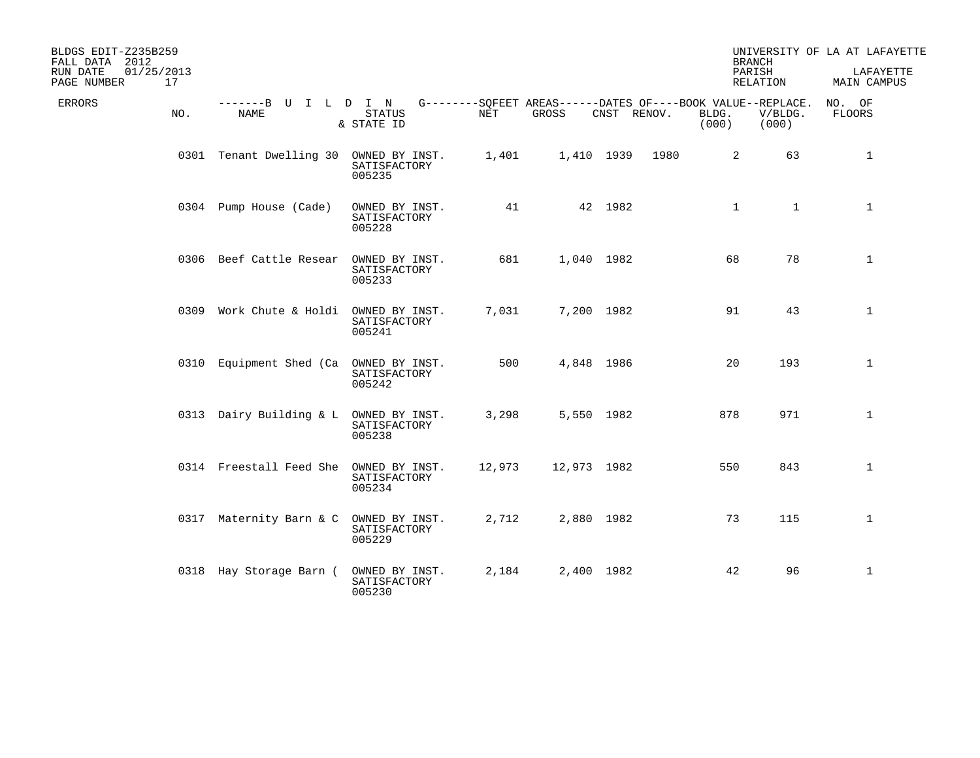| BLDGS EDIT-Z235B259<br>FALL DATA 2012<br>01/25/2013<br>RUN DATE<br>17<br>PAGE NUMBER |                              |                                          |        |                                                                      |             |                | <b>BRANCH</b><br>PARISH<br>RELATION |                  | UNIVERSITY OF LA AT LAFAYETTE<br>LAFAYETTE<br>MAIN CAMPUS |
|--------------------------------------------------------------------------------------|------------------------------|------------------------------------------|--------|----------------------------------------------------------------------|-------------|----------------|-------------------------------------|------------------|-----------------------------------------------------------|
| ERRORS<br>NO.                                                                        | -------B U I L D I N<br>NAME | <b>STATUS</b><br>& STATE ID              | NET    | G--------SQFEET AREAS------DATES OF----BOOK VALUE--REPLACE.<br>GROSS | CNST RENOV. | BLDG.<br>(000) |                                     | V/BLDG.<br>(000) | NO. OF<br>FLOORS                                          |
|                                                                                      | 0301 Tenant Dwelling 30      | OWNED BY INST.<br>SATISFACTORY<br>005235 | 1,401  |                                                                      | 1,410 1939  | 1980           | 2                                   | 63               | $\mathbf{1}$                                              |
|                                                                                      | 0304 Pump House (Cade)       | OWNED BY INST.<br>SATISFACTORY<br>005228 | 41     |                                                                      | 42 1982     |                | $\mathbf 1$                         | $\mathbf{1}$     | $\mathbf{1}$                                              |
|                                                                                      | 0306 Beef Cattle Resear      | OWNED BY INST.<br>SATISFACTORY<br>005233 | 681    | 1,040 1982                                                           |             |                | 68                                  | 78               | $\mathbf{1}$                                              |
|                                                                                      | 0309 Work Chute & Holdi      | OWNED BY INST.<br>SATISFACTORY<br>005241 | 7,031  | 7,200 1982                                                           |             |                | 91                                  | 43               | $\mathbf{1}$                                              |
|                                                                                      | 0310 Equipment Shed (Ca      | OWNED BY INST.<br>SATISFACTORY<br>005242 | 500    | 4,848 1986                                                           |             |                | 20                                  | 193              | $\mathbf{1}$                                              |
|                                                                                      | 0313 Dairy Building & L      | OWNED BY INST.<br>SATISFACTORY<br>005238 | 3,298  | 5,550 1982                                                           |             |                | 878                                 | 971              | $\mathbf 1$                                               |
|                                                                                      | 0314 Freestall Feed She      | OWNED BY INST.<br>SATISFACTORY<br>005234 | 12,973 | 12,973 1982                                                          |             |                | 550                                 | 843              | $\mathbf{1}$                                              |
|                                                                                      | 0317 Maternity Barn & C      | OWNED BY INST.<br>SATISFACTORY<br>005229 | 2,712  | 2,880 1982                                                           |             |                | 73                                  | 115              | $\mathbf{1}$                                              |
|                                                                                      | 0318 Hay Storage Barn (      | OWNED BY INST.<br>SATISFACTORY<br>005230 | 2,184  | 2,400 1982                                                           |             |                | 42                                  | 96               | $\mathbf{1}$                                              |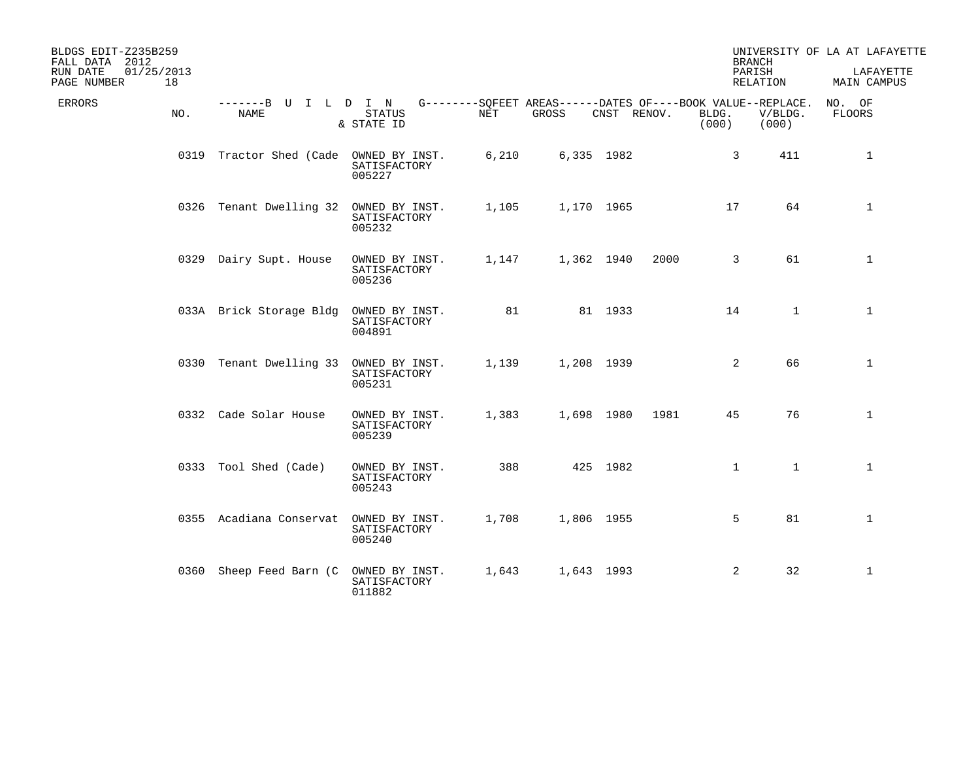| BLDGS EDIT-Z235B259<br>FALL DATA 2012<br>01/25/2013<br>RUN DATE |                                        |                                          |       |                                                                      |             |      |                | <b>BRANCH</b><br>PARISH | UNIVERSITY OF LA AT LAFAYETTE<br>LAFAYETTE |
|-----------------------------------------------------------------|----------------------------------------|------------------------------------------|-------|----------------------------------------------------------------------|-------------|------|----------------|-------------------------|--------------------------------------------|
| 18<br>PAGE NUMBER                                               |                                        |                                          |       |                                                                      |             |      |                | RELATION                | MAIN CAMPUS                                |
| ERRORS<br>NO.                                                   | -------B U I L D I N<br>NAME           | <b>STATUS</b><br>& STATE ID              | NET   | G--------SQFEET AREAS------DATES OF----BOOK VALUE--REPLACE.<br>GROSS | CNST RENOV. |      | BLDG.<br>(000) | V/BLDG.<br>(000)        | NO. OF<br><b>FLOORS</b>                    |
|                                                                 | 0319 Tractor Shed (Cade OWNED BY INST. | SATISFACTORY<br>005227                   | 6,210 |                                                                      | 6,335 1982  |      | $\mathsf{3}$   | 411                     | $\mathbf{1}$                               |
|                                                                 | 0326 Tenant Dwelling 32                | OWNED BY INST.<br>SATISFACTORY<br>005232 | 1,105 |                                                                      | 1,170 1965  |      | 17             | 64                      | $\mathbf{1}$                               |
|                                                                 | 0329 Dairy Supt. House                 | OWNED BY INST.<br>SATISFACTORY<br>005236 | 1,147 |                                                                      | 1,362 1940  | 2000 | $\overline{3}$ | 61                      | $\mathbf{1}$                               |
|                                                                 | 033A Brick Storage Bldg                | OWNED BY INST.<br>SATISFACTORY<br>004891 | 81    |                                                                      | 81 1933     |      | 14             | $\mathbf{1}$            | $\mathbf{1}$                               |
|                                                                 | 0330 Tenant Dwelling 33                | OWNED BY INST.<br>SATISFACTORY<br>005231 | 1,139 |                                                                      | 1,208 1939  |      | 2              | 66                      | $\mathbf{1}$                               |
|                                                                 | 0332 Cade Solar House                  | OWNED BY INST.<br>SATISFACTORY<br>005239 | 1,383 |                                                                      | 1,698 1980  | 1981 | 45             | 76                      | $\mathbf{1}$                               |
|                                                                 | 0333 Tool Shed (Cade)                  | OWNED BY INST.<br>SATISFACTORY<br>005243 | 388   |                                                                      | 425 1982    |      | $\mathbf{1}$   | $\mathbf{1}$            | $\mathbf{1}$                               |
|                                                                 | 0355 Acadiana Conservat                | OWNED BY INST.<br>SATISFACTORY<br>005240 | 1,708 |                                                                      | 1,806 1955  |      | 5              | 81                      | $\mathbf{1}$                               |
|                                                                 | 0360 Sheep Feed Barn (C)               | OWNED BY INST.<br>SATISFACTORY<br>011882 | 1,643 |                                                                      | 1,643 1993  |      | 2              | 32                      | $\mathbf{1}$                               |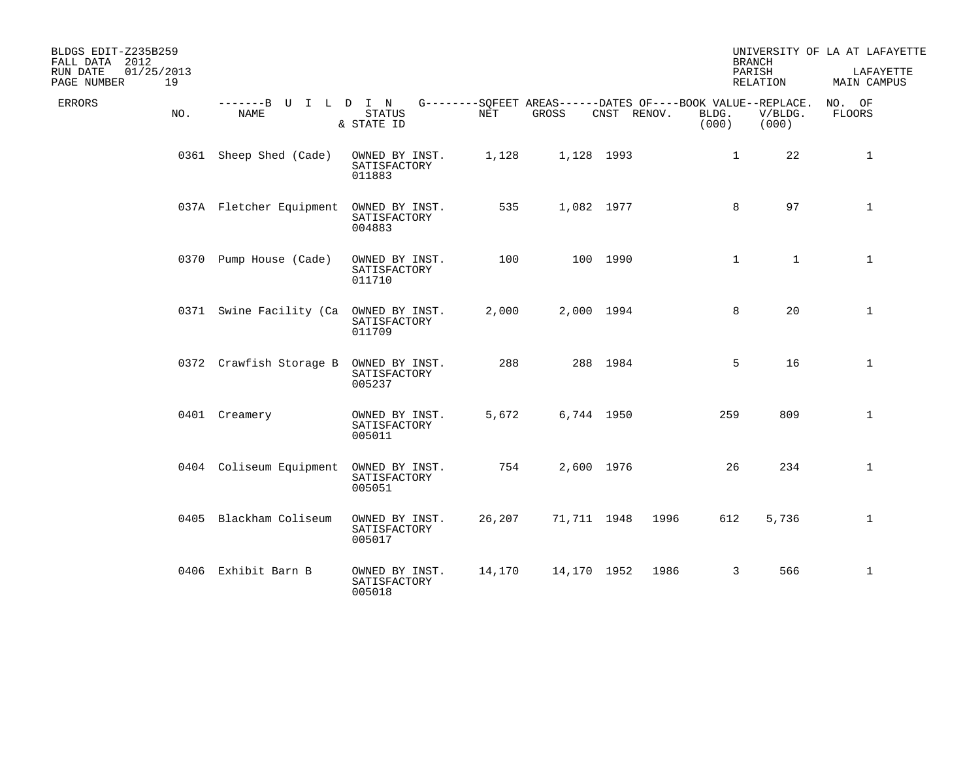| BLDGS EDIT-Z235B259<br>FALL DATA 2012<br>01/25/2013<br>RUN DATE<br>19<br>PAGE NUMBER |                              |                                          |        |             |             |                | <b>BRANCH</b><br>PARISH<br>RELATION                                             | UNIVERSITY OF LA AT LAFAYETTE<br>LAFAYETTE<br>MAIN CAMPUS |
|--------------------------------------------------------------------------------------|------------------------------|------------------------------------------|--------|-------------|-------------|----------------|---------------------------------------------------------------------------------|-----------------------------------------------------------|
| ERRORS<br>NO.                                                                        | -------B U I L D I N<br>NAME | <b>STATUS</b><br>& STATE ID              | NET    | GROSS       | CNST RENOV. | BLDG.<br>(000) | G--------SQFEET AREAS------DATES OF----BOOK VALUE--REPLACE.<br>V/BLDG.<br>(000) | NO. OF<br><b>FLOORS</b>                                   |
|                                                                                      | 0361 Sheep Shed (Cade)       | OWNED BY INST.<br>SATISFACTORY<br>011883 | 1,128  |             | 1,128 1993  |                | 22<br>$\mathbf{1}$                                                              | $\mathbf{1}$                                              |
|                                                                                      | 037A Fletcher Equipment      | OWNED BY INST.<br>SATISFACTORY<br>004883 | 535    |             | 1,082 1977  |                | 97<br>8                                                                         | $\mathbf{1}$                                              |
|                                                                                      | 0370 Pump House (Cade)       | OWNED BY INST.<br>SATISFACTORY<br>011710 | 100    |             | 100 1990    |                | $\mathbf{1}$<br>$\mathbf 1$                                                     | $\mathbf{1}$                                              |
|                                                                                      | 0371 Swine Facility (Ca      | OWNED BY INST.<br>SATISFACTORY<br>011709 | 2,000  |             | 2,000 1994  |                | 20<br>8                                                                         | 1                                                         |
|                                                                                      | 0372 Crawfish Storage B      | OWNED BY INST.<br>SATISFACTORY<br>005237 | 288    |             | 288 1984    |                | 5<br>16                                                                         | $\mathbf{1}$                                              |
|                                                                                      | 0401 Creamery                | OWNED BY INST.<br>SATISFACTORY<br>005011 | 5,672  |             | 6,744 1950  |                | 809<br>259                                                                      | $\mathbf{1}$                                              |
|                                                                                      | 0404 Coliseum Equipment      | OWNED BY INST.<br>SATISFACTORY<br>005051 | 754    |             | 2,600 1976  |                | 26<br>234                                                                       | $\mathbf 1$                                               |
|                                                                                      | 0405 Blackham Coliseum       | OWNED BY INST.<br>SATISFACTORY<br>005017 | 26,207 | 71,711 1948 |             | 1996           | 612<br>5,736                                                                    | $\mathbf 1$                                               |
|                                                                                      | 0406 Exhibit Barn B          | OWNED BY INST.<br>SATISFACTORY<br>005018 | 14,170 | 14,170 1952 |             | 1986           | 3<br>566                                                                        | $\mathbf{1}$                                              |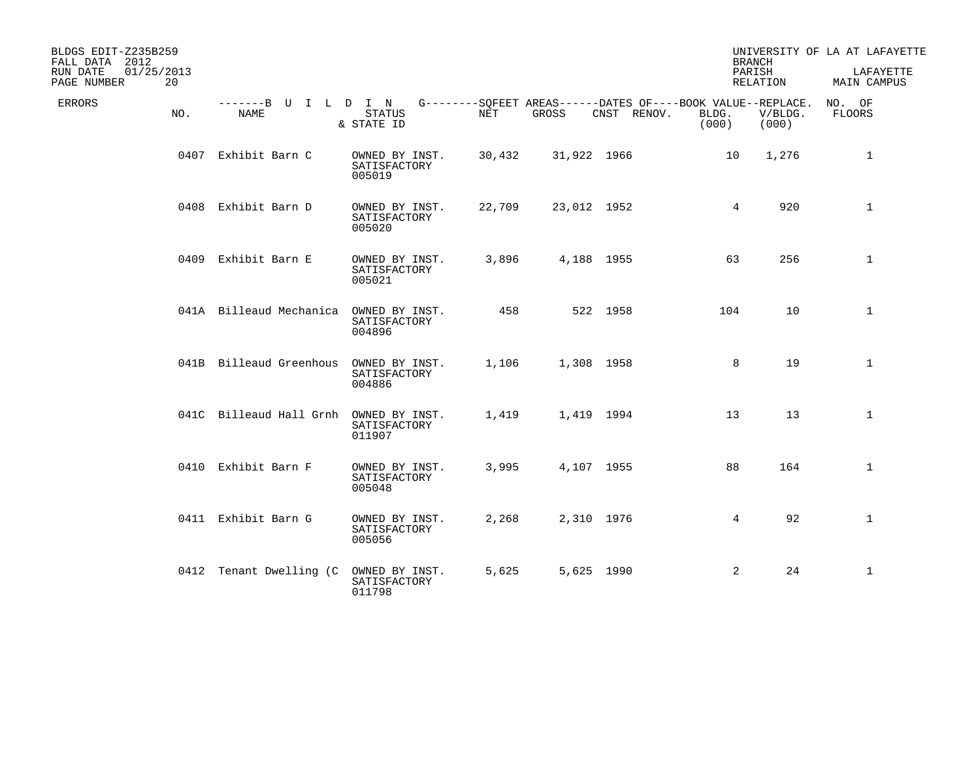| BLDGS EDIT-Z235B259<br>FALL DATA 2012<br>01/25/2013<br>RUN DATE<br>20<br>PAGE NUMBER |                                     |                                          |        |             |                                                                            | <b>BRANCH</b><br>PARISH<br>RELATION |                  | UNIVERSITY OF LA AT LAFAYETTE<br>LAFAYETTE<br>MAIN CAMPUS |
|--------------------------------------------------------------------------------------|-------------------------------------|------------------------------------------|--------|-------------|----------------------------------------------------------------------------|-------------------------------------|------------------|-----------------------------------------------------------|
| ERRORS<br>NO.                                                                        | -------B U I L D I N<br><b>NAME</b> | <b>STATUS</b><br>& STATE ID              | NET    | GROSS       | G--------SOFEET AREAS------DATES OF----BOOK VALUE--REPLACE.<br>CNST RENOV. | BLDG.<br>(000)                      | V/BLDG.<br>(000) | NO. OF<br>FLOORS                                          |
|                                                                                      | 0407 Exhibit Barn C                 | OWNED BY INST.<br>SATISFACTORY<br>005019 | 30,432 | 31,922 1966 |                                                                            | $10 \,$                             | 1,276            | 1                                                         |
|                                                                                      | 0408 Exhibit Barn D                 | OWNED BY INST.<br>SATISFACTORY<br>005020 | 22,709 | 23,012 1952 |                                                                            | 4                                   | 920              | $\mathbf{1}$                                              |
|                                                                                      | 0409 Exhibit Barn E                 | OWNED BY INST.<br>SATISFACTORY<br>005021 | 3,896  | 4,188 1955  |                                                                            | 63                                  | 256              | $\mathbf{1}$                                              |
|                                                                                      | 041A Billeaud Mechanica             | OWNED BY INST.<br>SATISFACTORY<br>004896 | 458    |             | 522 1958                                                                   | 104                                 | 10               | $\mathbf{1}$                                              |
|                                                                                      | 041B Billeaud Greenhous             | OWNED BY INST.<br>SATISFACTORY<br>004886 | 1,106  | 1,308 1958  |                                                                            | 8                                   | 19               | $\mathbf{1}$                                              |
|                                                                                      | 041C Billeaud Hall Grnh             | OWNED BY INST.<br>SATISFACTORY<br>011907 | 1,419  | 1,419 1994  |                                                                            | 13                                  | 13               | $\mathbf{1}$                                              |
|                                                                                      | 0410 Exhibit Barn F                 | OWNED BY INST.<br>SATISFACTORY<br>005048 | 3,995  | 4,107 1955  |                                                                            | 88                                  | 164              | $\mathbf{1}$                                              |
|                                                                                      | 0411 Exhibit Barn G                 | OWNED BY INST.<br>SATISFACTORY<br>005056 | 2,268  | 2,310 1976  |                                                                            | $\overline{4}$                      | 92               | $\mathbf{1}$                                              |
|                                                                                      | 0412 Tenant Dwelling (C             | OWNED BY INST.<br>SATISFACTORY<br>011798 | 5,625  | 5,625 1990  |                                                                            | 2                                   | 24               | $\mathbf{1}$                                              |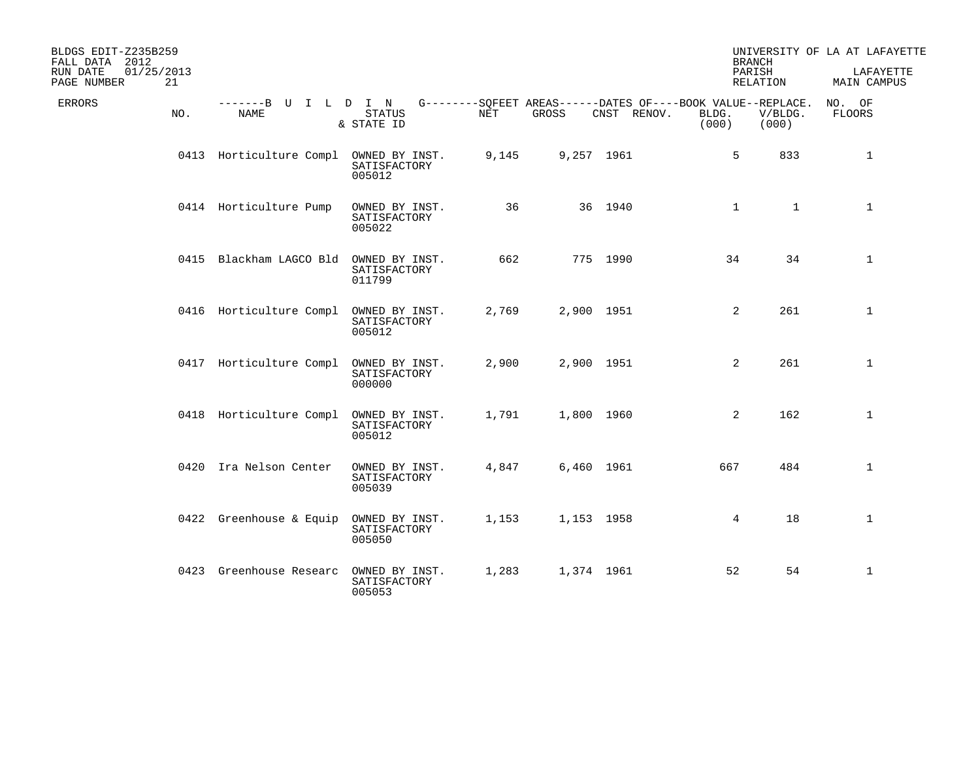| BLDGS EDIT-Z235B259<br>FALL DATA 2012<br>01/25/2013<br>RUN DATE<br>21<br>PAGE NUMBER |                              |                                          |       |            |                                                                            | <b>BRANCH</b><br>PARISH<br>RELATION |                  | UNIVERSITY OF LA AT LAFAYETTE<br>LAFAYETTE<br>MAIN CAMPUS |
|--------------------------------------------------------------------------------------|------------------------------|------------------------------------------|-------|------------|----------------------------------------------------------------------------|-------------------------------------|------------------|-----------------------------------------------------------|
| ERRORS<br>NO.                                                                        | -------B U I L D I N<br>NAME | <b>STATUS</b><br>& STATE ID              | NET   | GROSS      | G--------SQFEET AREAS------DATES OF----BOOK VALUE--REPLACE.<br>CNST RENOV. | BLDG.<br>(000)                      | V/BLDG.<br>(000) | NO. OF<br><b>FLOORS</b>                                   |
|                                                                                      | 0413 Horticulture Compl      | OWNED BY INST.<br>SATISFACTORY<br>005012 | 9,145 | 9,257 1961 |                                                                            | 5                                   | 833              | $\mathbf{1}$                                              |
|                                                                                      | 0414 Horticulture Pump       | OWNED BY INST.<br>SATISFACTORY<br>005022 | 36    |            | 36 1940                                                                    | $\mathbf{1}$                        | $\mathbf{1}$     | $\mathbf{1}$                                              |
|                                                                                      | 0415 Blackham LAGCO Bld      | OWNED BY INST.<br>SATISFACTORY<br>011799 | 662   |            | 775 1990                                                                   | 34                                  | 34               | $\mathbf{1}$                                              |
|                                                                                      | 0416 Horticulture Compl      | OWNED BY INST.<br>SATISFACTORY<br>005012 | 2,769 | 2,900 1951 |                                                                            | 2                                   | 261              | 1                                                         |
|                                                                                      | 0417 Horticulture Compl      | OWNED BY INST.<br>SATISFACTORY<br>000000 | 2,900 | 2,900 1951 |                                                                            | 2                                   | 261              | $\mathbf{1}$                                              |
|                                                                                      | 0418 Horticulture Compl      | OWNED BY INST.<br>SATISFACTORY<br>005012 | 1,791 | 1,800 1960 |                                                                            | 2                                   | 162              | $\mathbf{1}$                                              |
|                                                                                      | 0420 Ira Nelson Center       | OWNED BY INST.<br>SATISFACTORY<br>005039 | 4,847 | 6,460 1961 |                                                                            | 667                                 | 484              | $\mathbf 1$                                               |
|                                                                                      | 0422 Greenhouse & Equip      | OWNED BY INST.<br>SATISFACTORY<br>005050 | 1,153 | 1,153 1958 |                                                                            | 4                                   | 18               | $\mathbf 1$                                               |
|                                                                                      | 0423 Greenhouse Researc      | OWNED BY INST.<br>SATISFACTORY<br>005053 | 1,283 | 1,374 1961 |                                                                            | 52                                  | 54               | 1                                                         |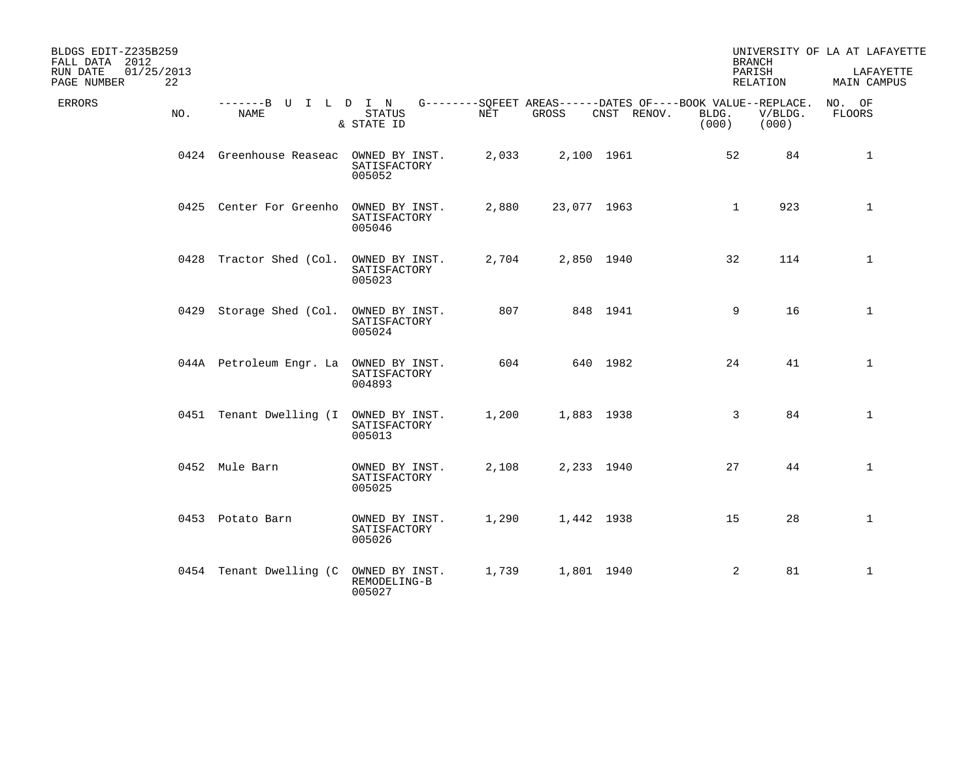| BLDGS EDIT-Z235B259<br>FALL DATA 2012<br>01/25/2013<br>RUN DATE<br>22<br>PAGE NUMBER |                                        |                                          |       |             |             | <b>BRANCH</b><br>PARISH<br>RELATION                                           |                  | UNIVERSITY OF LA AT LAFAYETTE<br>LAFAYETTE<br>MAIN CAMPUS |
|--------------------------------------------------------------------------------------|----------------------------------------|------------------------------------------|-------|-------------|-------------|-------------------------------------------------------------------------------|------------------|-----------------------------------------------------------|
| ERRORS<br>NO.                                                                        | -------B U I L D I N<br>NAME           | <b>STATUS</b><br>& STATE ID              | NET   | GROSS       | CNST RENOV. | G--------SQFEET AREAS------DATES OF----BOOK VALUE--REPLACE.<br>BLDG.<br>(000) | V/BLDG.<br>(000) | NO. OF<br>FLOORS                                          |
|                                                                                      | 0424 Greenhouse Reaseac                | OWNED BY INST.<br>SATISFACTORY<br>005052 | 2,033 | 2,100 1961  |             | 52                                                                            | 84               | $\mathbf{1}$                                              |
|                                                                                      | 0425 Center For Greenho                | OWNED BY INST.<br>SATISFACTORY<br>005046 | 2,880 | 23,077 1963 |             | $\mathbf 1$                                                                   | 923              | $\mathbf{1}$                                              |
|                                                                                      | 0428 Tractor Shed (Col.                | OWNED BY INST.<br>SATISFACTORY<br>005023 | 2,704 | 2,850 1940  |             | 32                                                                            | 114              | $\mathbf{1}$                                              |
|                                                                                      | 0429 Storage Shed (Col.                | OWNED BY INST.<br>SATISFACTORY<br>005024 | 807   |             | 848 1941    | 9                                                                             | 16               | $\mathbf{1}$                                              |
|                                                                                      | 044A Petroleum Engr. La                | OWNED BY INST.<br>SATISFACTORY<br>004893 | 604   |             | 640 1982    | 24                                                                            | 41               | $\mathbf{1}$                                              |
|                                                                                      | 0451 Tenant Dwelling (I OWNED BY INST. | SATISFACTORY<br>005013                   | 1,200 | 1,883 1938  |             | 3                                                                             | 84               | $\mathbf 1$                                               |
|                                                                                      | 0452 Mule Barn                         | OWNED BY INST.<br>SATISFACTORY<br>005025 | 2,108 | 2,233 1940  |             | 27                                                                            | 44               | $\mathbf{1}$                                              |
|                                                                                      | 0453 Potato Barn                       | OWNED BY INST.<br>SATISFACTORY<br>005026 | 1,290 | 1,442 1938  |             | 15                                                                            | 28               | $\mathbf{1}$                                              |
|                                                                                      | 0454 Tenant Dwelling (C                | OWNED BY INST.<br>REMODELING-B<br>005027 | 1,739 | 1,801 1940  |             | 2                                                                             | 81               | $\mathbf{1}$                                              |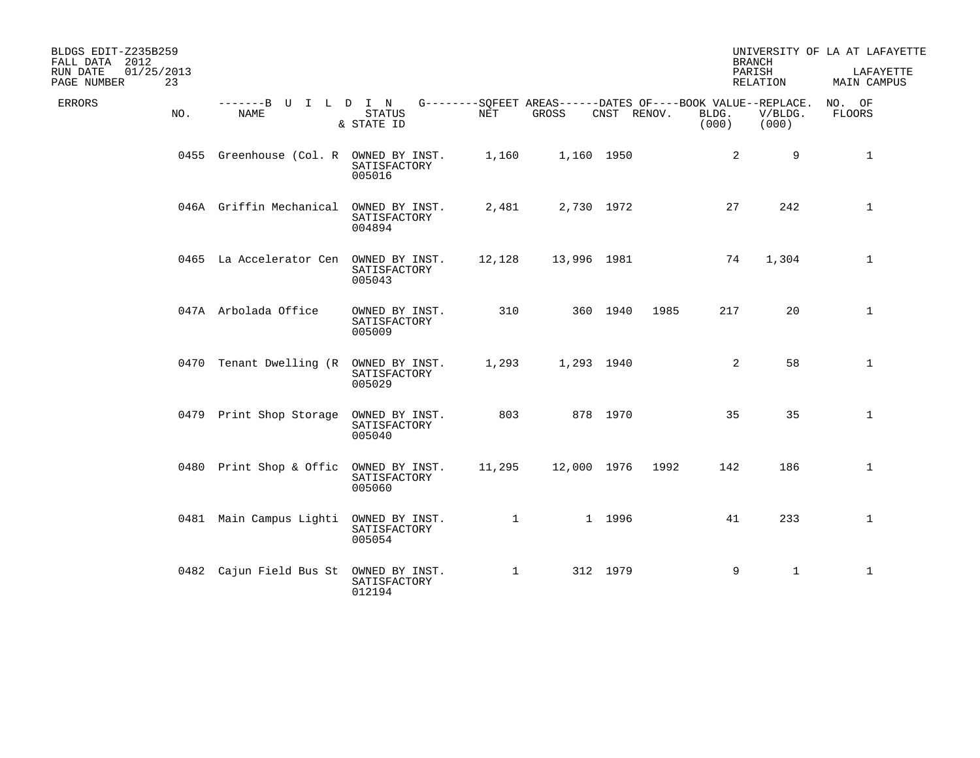| BLDGS EDIT-Z235B259<br>FALL DATA 2012<br>RUN DATE<br>01/25/2013<br>PAGE NUMBER<br>23 |                                        |                                          |              |                                                                      |             |      |                | <b>BRANCH</b><br>PARISH<br>RELATION | UNIVERSITY OF LA AT LAFAYETTE<br>LAFAYETTE<br>MAIN CAMPUS |
|--------------------------------------------------------------------------------------|----------------------------------------|------------------------------------------|--------------|----------------------------------------------------------------------|-------------|------|----------------|-------------------------------------|-----------------------------------------------------------|
| ERRORS<br>NO.                                                                        | -------B U I L D I N<br>NAME           | <b>STATUS</b><br>& STATE ID              | NET          | G--------SOFEET AREAS------DATES OF----BOOK VALUE--REPLACE.<br>GROSS | CNST RENOV. |      | BLDG.<br>(000) | V/BLDG.<br>(000)                    | NO. OF<br>FLOORS                                          |
|                                                                                      | 0455 Greenhouse (Col. R OWNED BY INST. | SATISFACTORY<br>005016                   | 1,160        |                                                                      | 1,160 1950  |      | 2              | 9                                   | $\mathbf{1}$                                              |
|                                                                                      | 046A Griffin Mechanical                | OWNED BY INST.<br>SATISFACTORY<br>004894 | 2,481        |                                                                      | 2,730 1972  |      | 27             | 242                                 | $\mathbf{1}$                                              |
|                                                                                      | 0465 La Accelerator Cen                | OWNED BY INST.<br>SATISFACTORY<br>005043 | 12,128       | 13,996 1981                                                          |             |      | 74             | 1,304                               | $\mathbf{1}$                                              |
|                                                                                      | 047A Arbolada Office                   | OWNED BY INST.<br>SATISFACTORY<br>005009 | 310          |                                                                      | 360 1940    | 1985 | 217            | 20                                  | $\mathbf{1}$                                              |
|                                                                                      | 0470 Tenant Dwelling (R                | OWNED BY INST.<br>SATISFACTORY<br>005029 | 1,293        |                                                                      | 1,293 1940  |      | 2              | 58                                  | $\mathbf{1}$                                              |
|                                                                                      | 0479 Print Shop Storage                | OWNED BY INST.<br>SATISFACTORY<br>005040 | 803          |                                                                      | 878 1970    |      | 35             | 35                                  | $\mathbf{1}$                                              |
|                                                                                      | 0480 Print Shop & Offic                | OWNED BY INST.<br>SATISFACTORY<br>005060 | 11,295       | 12,000 1976                                                          |             | 1992 | 142            | 186                                 | $\mathbf{1}$                                              |
|                                                                                      | 0481 Main Campus Lighti                | OWNED BY INST.<br>SATISFACTORY<br>005054 | $\mathbf{1}$ |                                                                      | 1 1996      |      | 41             | 233                                 | $\mathbf 1$                                               |
|                                                                                      | 0482 Cajun Field Bus St                | OWNED BY INST.<br>SATISFACTORY<br>012194 | $\mathbf{1}$ |                                                                      | 312 1979    |      | 9              | $\mathbf{1}$                        | $\mathbf{1}$                                              |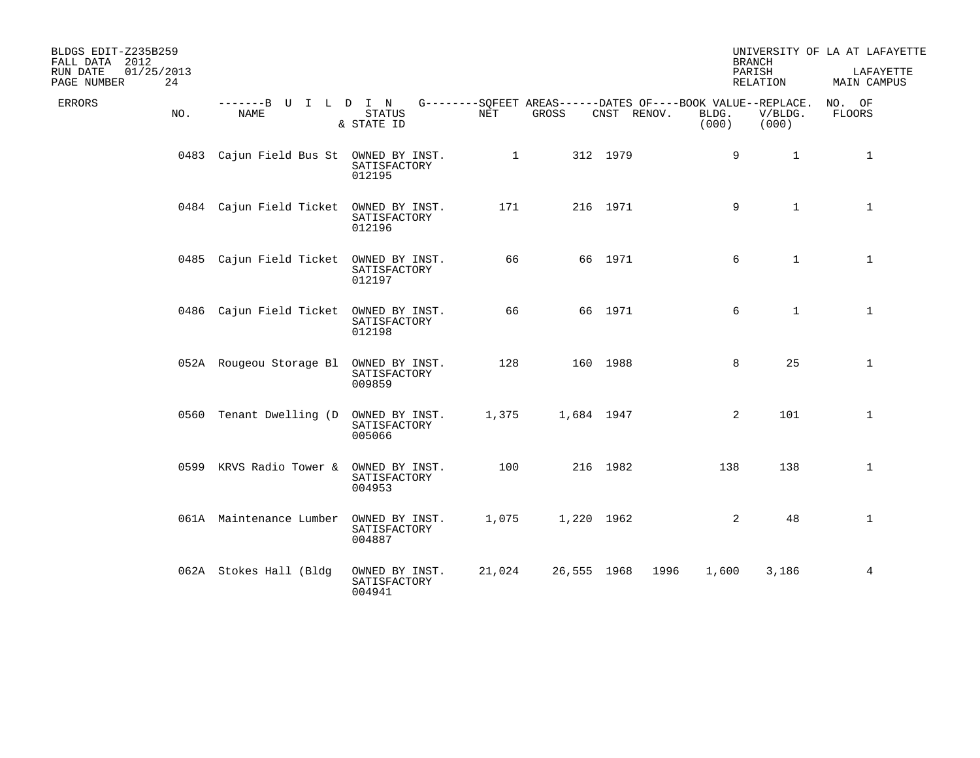| BLDGS EDIT-Z235B259<br>FALL DATA 2012<br>01/25/2013<br>RUN DATE<br>24<br>PAGE NUMBER |                                        |                                          |              |             |             |                | <b>BRANCH</b><br>PARISH<br>RELATION                                             | UNIVERSITY OF LA AT LAFAYETTE<br>LAFAYETTE<br>MAIN CAMPUS |
|--------------------------------------------------------------------------------------|----------------------------------------|------------------------------------------|--------------|-------------|-------------|----------------|---------------------------------------------------------------------------------|-----------------------------------------------------------|
| ERRORS<br>NO.                                                                        | -------B U I L D I N<br>NAME           | <b>STATUS</b><br>& STATE ID              | NET          | GROSS       | CNST RENOV. | BLDG.<br>(000) | G--------SQFEET AREAS------DATES OF----BOOK VALUE--REPLACE.<br>V/BLDG.<br>(000) | NO. OF<br><b>FLOORS</b>                                   |
|                                                                                      | 0483 Cajun Field Bus St OWNED BY INST. | SATISFACTORY<br>012195                   | $\mathbf{1}$ |             | 312 1979    |                | 9<br>$\mathbf{1}$                                                               | $\mathbf{1}$                                              |
|                                                                                      | 0484 Cajun Field Ticket                | OWNED BY INST.<br>SATISFACTORY<br>012196 | 171          |             | 216 1971    |                | 9<br>$\mathbf{1}$                                                               | $\mathbf{1}$                                              |
|                                                                                      | 0485 Cajun Field Ticket                | OWNED BY INST.<br>SATISFACTORY<br>012197 | 66           |             | 66 1971     |                | 6<br>$\mathbf{1}$                                                               | $\mathbf{1}$                                              |
|                                                                                      | 0486 Cajun Field Ticket                | OWNED BY INST.<br>SATISFACTORY<br>012198 | 66           |             | 66 1971     |                | $\mathbf{1}$<br>6                                                               | $\mathbf{1}$                                              |
|                                                                                      | 052A Rougeou Storage Bl                | OWNED BY INST.<br>SATISFACTORY<br>009859 | 128          |             | 160 1988    |                | 25<br>8                                                                         | $\mathbf{1}$                                              |
|                                                                                      | 0560 Tenant Dwelling (D OWNED BY INST. | SATISFACTORY<br>005066                   | 1,375        | 1,684 1947  |             |                | 101<br>2                                                                        | $\mathbf{1}$                                              |
|                                                                                      | 0599 KRVS Radio Tower &                | OWNED BY INST.<br>SATISFACTORY<br>004953 | 100          |             | 216 1982    |                | 138<br>138                                                                      | $\mathbf 1$                                               |
|                                                                                      | 061A Maintenance Lumber                | OWNED BY INST.<br>SATISFACTORY<br>004887 | 1,075        | 1,220 1962  |             |                | 2<br>48                                                                         | $\mathbf 1$                                               |
|                                                                                      | 062A Stokes Hall (Bldg                 | OWNED BY INST.<br>SATISFACTORY<br>004941 | 21,024       | 26,555 1968 | 1996        | 1,600          | 3,186                                                                           | 4                                                         |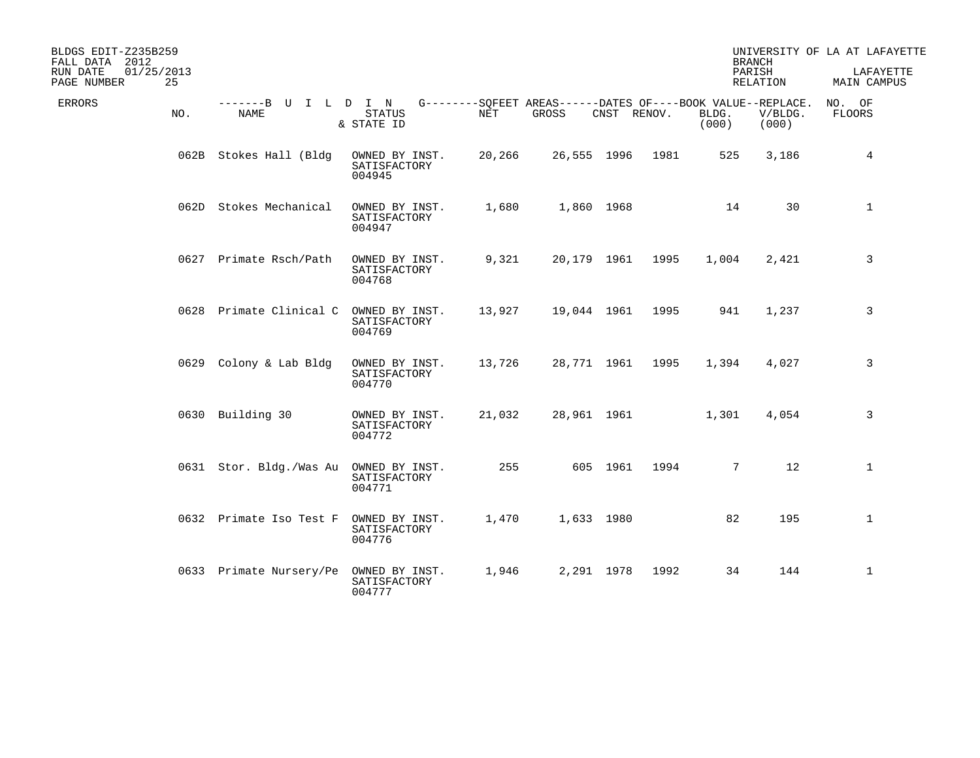| BLDGS EDIT-Z235B259<br>FALL DATA 2012<br>01/25/2013<br>RUN DATE<br>25<br>PAGE NUMBER |                                     |                                          |        |                                                                      |             |      |                | <b>BRANCH</b><br>PARISH<br><b>RELATION</b> | UNIVERSITY OF LA AT LAFAYETTE<br>LAFAYETTE<br>MAIN CAMPUS |
|--------------------------------------------------------------------------------------|-------------------------------------|------------------------------------------|--------|----------------------------------------------------------------------|-------------|------|----------------|--------------------------------------------|-----------------------------------------------------------|
| <b>ERRORS</b><br>NO.                                                                 | -------B U I L D I N<br><b>NAME</b> | <b>STATUS</b><br>& STATE ID              | NET    | G--------SQFEET AREAS------DATES OF----BOOK VALUE--REPLACE.<br>GROSS | CNST RENOV. |      | BLDG.<br>(000) | V/BLDG.<br>(000)                           | NO. OF<br>FLOORS                                          |
|                                                                                      | 062B Stokes Hall (Bldg              | OWNED BY INST.<br>SATISFACTORY<br>004945 | 20,266 |                                                                      | 26,555 1996 | 1981 | 525            | 3,186                                      | 4                                                         |
|                                                                                      | 062D Stokes Mechanical              | OWNED BY INST.<br>SATISFACTORY<br>004947 | 1,680  |                                                                      | 1,860 1968  |      | 14             | 30                                         | $\mathbf{1}$                                              |
|                                                                                      | 0627 Primate Rsch/Path              | OWNED BY INST.<br>SATISFACTORY<br>004768 | 9,321  |                                                                      | 20,179 1961 | 1995 | 1,004          | 2,421                                      | 3                                                         |
|                                                                                      | 0628 Primate Clinical C             | OWNED BY INST.<br>SATISFACTORY<br>004769 | 13,927 | 19,044 1961                                                          |             | 1995 | 941            | 1,237                                      | 3                                                         |
|                                                                                      | 0629 Colony & Lab Bldg              | OWNED BY INST.<br>SATISFACTORY<br>004770 | 13,726 |                                                                      | 28,771 1961 | 1995 | 1,394          | 4,027                                      | 3                                                         |
|                                                                                      | 0630 Building 30                    | OWNED BY INST.<br>SATISFACTORY<br>004772 | 21,032 |                                                                      | 28,961 1961 |      | 1,301          | 4,054                                      | 3                                                         |
|                                                                                      | 0631 Stor. Bldg./Was Au             | OWNED BY INST.<br>SATISFACTORY<br>004771 | 255    |                                                                      | 605 1961    | 1994 | $7^{\circ}$    | 12                                         | $\mathbf{1}$                                              |
|                                                                                      | 0632 Primate Iso Test F             | OWNED BY INST.<br>SATISFACTORY<br>004776 | 1,470  |                                                                      | 1,633 1980  |      | 82             | 195                                        | $\mathbf 1$                                               |
|                                                                                      | 0633 Primate Nursery/Pe             | OWNED BY INST.<br>SATISFACTORY<br>004777 | 1,946  |                                                                      | 2,291 1978  | 1992 | 34             | 144                                        | $\mathbf{1}$                                              |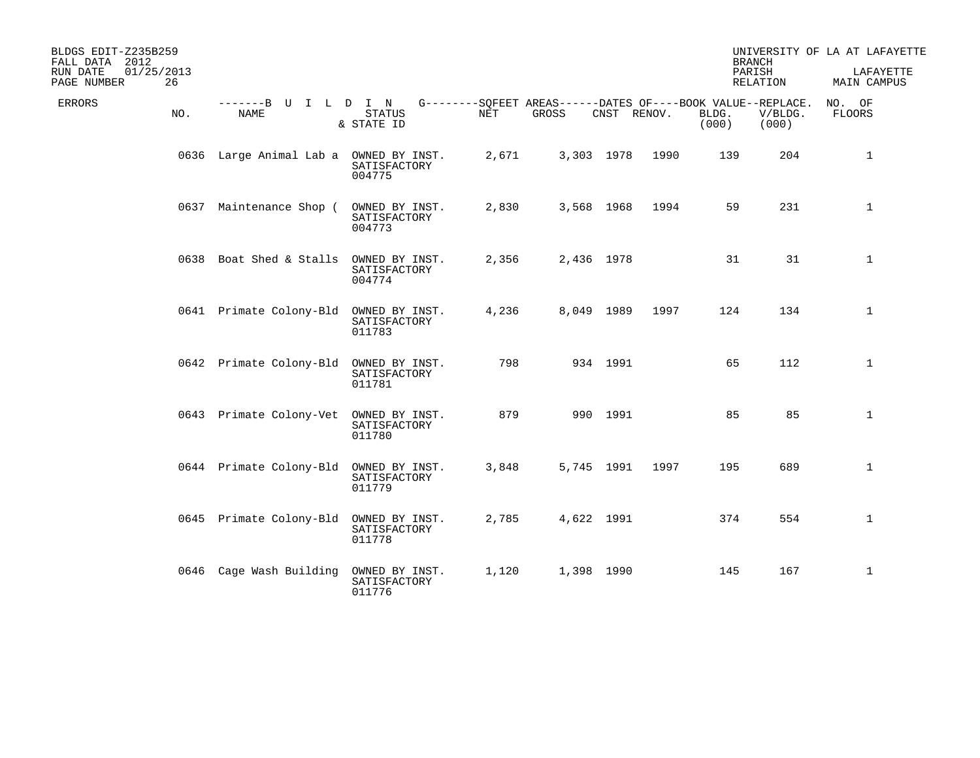| BLDGS EDIT-Z235B259<br>FALL DATA 2012<br>01/25/2013<br>RUN DATE<br>26<br>PAGE NUMBER |                                        |                                          |       |                                                                      |             |      | <b>BRANCH</b><br>PARISH | RELATION         | UNIVERSITY OF LA AT LAFAYETTE<br>LAFAYETTE<br>MAIN CAMPUS |
|--------------------------------------------------------------------------------------|----------------------------------------|------------------------------------------|-------|----------------------------------------------------------------------|-------------|------|-------------------------|------------------|-----------------------------------------------------------|
| ERRORS<br>NO.                                                                        | -------B U I L D I N<br><b>NAME</b>    | <b>STATUS</b><br>& STATE ID              | NET   | G--------SOFEET AREAS------DATES OF----BOOK VALUE--REPLACE.<br>GROSS | CNST RENOV. |      | BLDG.<br>(000)          | V/BLDG.<br>(000) | NO. OF<br><b>FLOORS</b>                                   |
|                                                                                      | 0636 Large Animal Lab a OWNED BY INST. | SATISFACTORY<br>004775                   | 2,671 |                                                                      | 3,303 1978  | 1990 | 139                     | 204              | $\mathbf{1}$                                              |
|                                                                                      | 0637 Maintenance Shop (                | OWNED BY INST.<br>SATISFACTORY<br>004773 | 2,830 |                                                                      | 3,568 1968  | 1994 | 59                      | 231              | $\mathbf{1}$                                              |
|                                                                                      | 0638 Boat Shed & Stalls                | OWNED BY INST.<br>SATISFACTORY<br>004774 | 2,356 |                                                                      | 2,436 1978  |      | 31                      | 31               | $\mathbf{1}$                                              |
|                                                                                      | 0641 Primate Colony-Bld                | OWNED BY INST.<br>SATISFACTORY<br>011783 | 4,236 |                                                                      | 8,049 1989  | 1997 | 124                     | 134              | $\mathbf{1}$                                              |
|                                                                                      | 0642 Primate Colony-Bld                | OWNED BY INST.<br>SATISFACTORY<br>011781 | 798   |                                                                      | 934 1991    |      | 65                      | 112              | $\mathbf{1}$                                              |
|                                                                                      | 0643 Primate Colony-Vet                | OWNED BY INST.<br>SATISFACTORY<br>011780 | 879   |                                                                      | 990 1991    |      | 85                      | 85               | $\mathbf 1$                                               |
|                                                                                      | 0644 Primate Colony-Bld                | OWNED BY INST.<br>SATISFACTORY<br>011779 | 3,848 |                                                                      | 5,745 1991  | 1997 | 195                     | 689              | 1                                                         |
|                                                                                      | 0645 Primate Colony-Bld                | OWNED BY INST.<br>SATISFACTORY<br>011778 | 2,785 |                                                                      | 4,622 1991  |      | 374                     | 554              | $\mathbf 1$                                               |
|                                                                                      | 0646 Cage Wash Building                | OWNED BY INST.<br>SATISFACTORY<br>011776 | 1,120 |                                                                      | 1,398 1990  |      | 145                     | 167              | $\mathbf{1}$                                              |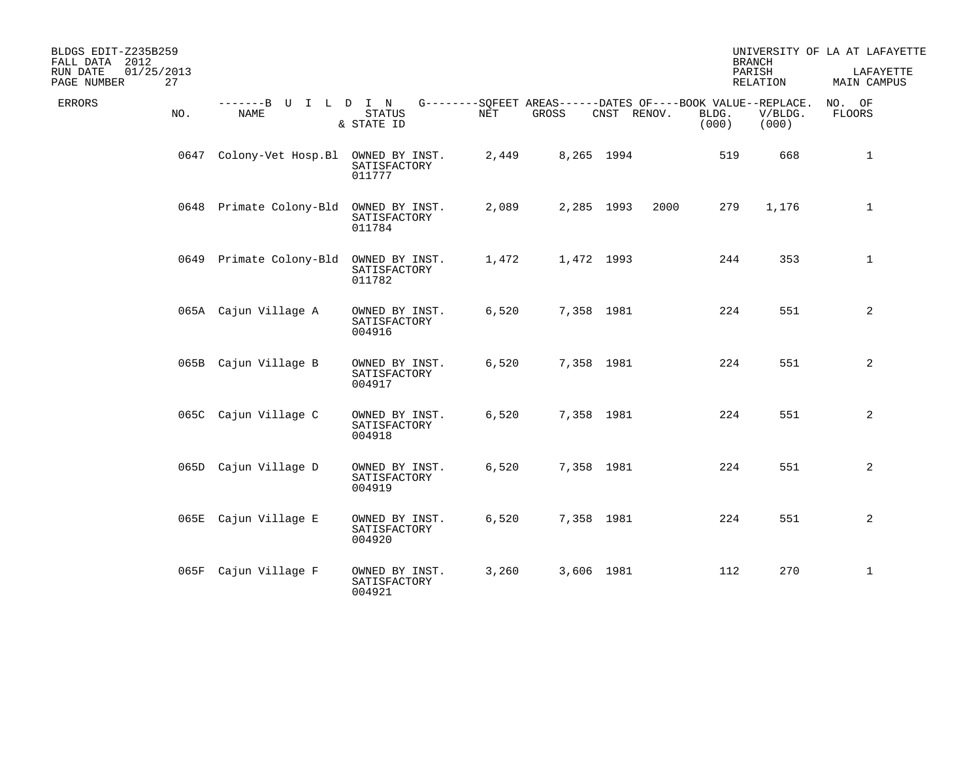| BLDGS EDIT-Z235B259<br>FALL DATA 2012<br>01/25/2013<br>RUN DATE |                              |                                          |            |       |                                                                            | <b>BRANCH</b><br>PARISH |                  | UNIVERSITY OF LA AT LAFAYETTE<br>LAFAYETTE |
|-----------------------------------------------------------------|------------------------------|------------------------------------------|------------|-------|----------------------------------------------------------------------------|-------------------------|------------------|--------------------------------------------|
| 27<br>PAGE NUMBER                                               |                              |                                          |            |       |                                                                            |                         | RELATION         | MAIN CAMPUS                                |
| ERRORS<br>NO.                                                   | -------B U I L D I N<br>NAME | <b>STATUS</b><br>& STATE ID              | <b>NET</b> | GROSS | G--------SQFEET AREAS------DATES OF----BOOK VALUE--REPLACE.<br>CNST RENOV. | BLDG.<br>(000)          | V/BLDG.<br>(000) | NO. OF<br><b>FLOORS</b>                    |
|                                                                 | 0647 Colony-Vet Hosp.Bl      | OWNED BY INST.<br>SATISFACTORY<br>011777 | 2,449      |       | 8,265 1994                                                                 | 519                     | 668              | $\mathbf{1}$                               |
|                                                                 | 0648 Primate Colony-Bld      | OWNED BY INST.<br>SATISFACTORY<br>011784 | 2,089      |       | 2,285 1993<br>2000                                                         | 279                     | 1,176            | $\mathbf{1}$                               |
|                                                                 | 0649 Primate Colony-Bld      | OWNED BY INST.<br>SATISFACTORY<br>011782 | 1,472      |       | 1,472 1993                                                                 | 244                     | 353              | $\mathbf{1}$                               |
|                                                                 | 065A Cajun Village A         | OWNED BY INST.<br>SATISFACTORY<br>004916 | 6,520      |       | 7,358 1981                                                                 | 224                     | 551              | 2                                          |
|                                                                 | 065B Cajun Village B         | OWNED BY INST.<br>SATISFACTORY<br>004917 | 6,520      |       | 7,358 1981                                                                 | 224                     | 551              | 2                                          |
|                                                                 | 065C Cajun Village C         | OWNED BY INST.<br>SATISFACTORY<br>004918 | 6,520      |       | 7,358 1981                                                                 | 224                     | 551              | 2                                          |
|                                                                 | 065D Cajun Village D         | OWNED BY INST.<br>SATISFACTORY<br>004919 | 6,520      |       | 7,358 1981                                                                 | 224                     | 551              | 2                                          |
|                                                                 | 065E Cajun Village E         | OWNED BY INST.<br>SATISFACTORY<br>004920 | 6,520      |       | 7,358 1981                                                                 | 224                     | 551              | 2                                          |
|                                                                 | 065F Cajun Village F         | OWNED BY INST.<br>SATISFACTORY<br>004921 | 3,260      |       | 3,606 1981                                                                 | 112                     | 270              | $\mathbf{1}$                               |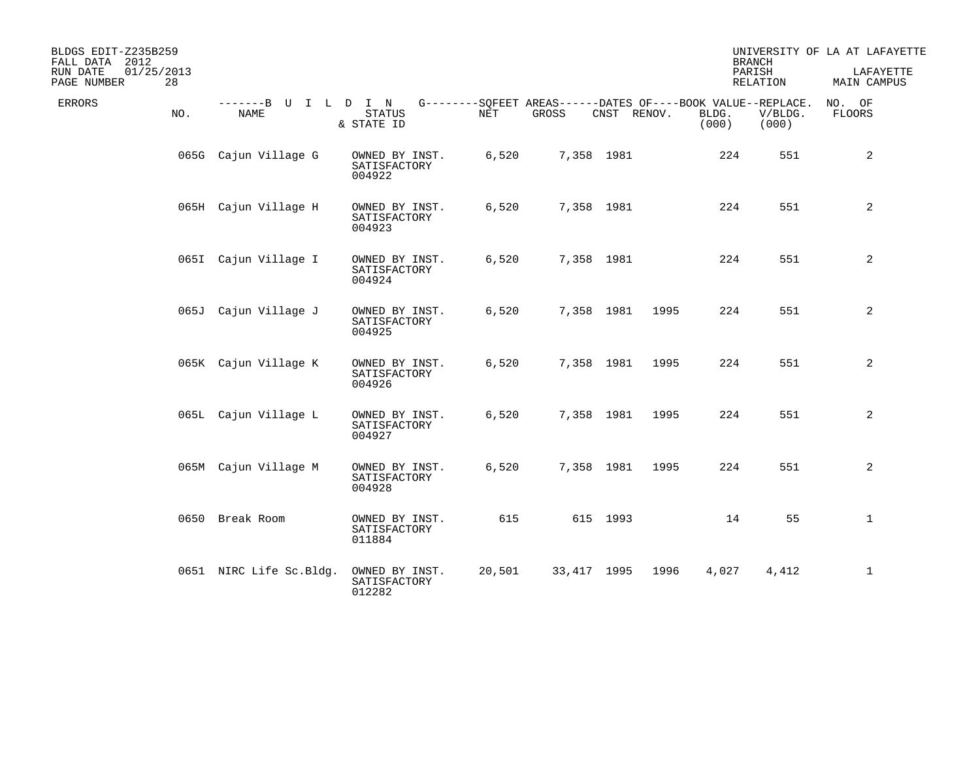| BLDGS EDIT-Z235B259<br>FALL DATA 2012<br>01/25/2013<br>RUN DATE<br>PAGE NUMBER<br>28 |                                     |                                          |        |                                                                      |             |      |                | <b>BRANCH</b><br>PARISH<br>RELATION | UNIVERSITY OF LA AT LAFAYETTE<br>LAFAYETTE<br>MAIN CAMPUS |
|--------------------------------------------------------------------------------------|-------------------------------------|------------------------------------------|--------|----------------------------------------------------------------------|-------------|------|----------------|-------------------------------------|-----------------------------------------------------------|
| ERRORS<br>NO.                                                                        | -------B U I L D I N<br><b>NAME</b> | <b>STATUS</b><br>& STATE ID              | NET    | G--------SOFEET AREAS------DATES OF----BOOK VALUE--REPLACE.<br>GROSS | CNST RENOV. |      | BLDG.<br>(000) | V/BLDG.<br>(000)                    | NO. OF<br>FLOORS                                          |
|                                                                                      | 065G Cajun Village G                | OWNED BY INST.<br>SATISFACTORY<br>004922 | 6,520  |                                                                      | 7,358 1981  |      | 224            | 551                                 | 2                                                         |
|                                                                                      | 065H Cajun Village H                | OWNED BY INST.<br>SATISFACTORY<br>004923 | 6,520  |                                                                      | 7,358 1981  |      | 224            | 551                                 | 2                                                         |
|                                                                                      | 065I Cajun Village I                | OWNED BY INST.<br>SATISFACTORY<br>004924 | 6,520  |                                                                      | 7,358 1981  |      | 224            | 551                                 | 2                                                         |
|                                                                                      | 065J Cajun Village J                | OWNED BY INST.<br>SATISFACTORY<br>004925 | 6,520  |                                                                      | 7,358 1981  | 1995 | 224            | 551                                 | 2                                                         |
|                                                                                      | 065K Cajun Village K                | OWNED BY INST.<br>SATISFACTORY<br>004926 | 6,520  |                                                                      | 7,358 1981  | 1995 | 224            | 551                                 | 2                                                         |
|                                                                                      | 065L Cajun Village L                | OWNED BY INST.<br>SATISFACTORY<br>004927 | 6,520  |                                                                      | 7,358 1981  | 1995 | 224            | 551                                 | 2                                                         |
|                                                                                      | 065M Cajun Village M                | OWNED BY INST.<br>SATISFACTORY<br>004928 | 6,520  |                                                                      | 7,358 1981  | 1995 | 224            | 551                                 | 2                                                         |
|                                                                                      | 0650 Break Room                     | OWNED BY INST.<br>SATISFACTORY<br>011884 | 615    |                                                                      | 615 1993    |      | 14             | 55                                  | $\mathbf 1$                                               |
|                                                                                      | 0651 NIRC Life Sc.Bldg.             | OWNED BY INST.<br>SATISFACTORY<br>012282 | 20,501 | 33,417 1995                                                          |             | 1996 | 4,027          | 4,412                               | 1                                                         |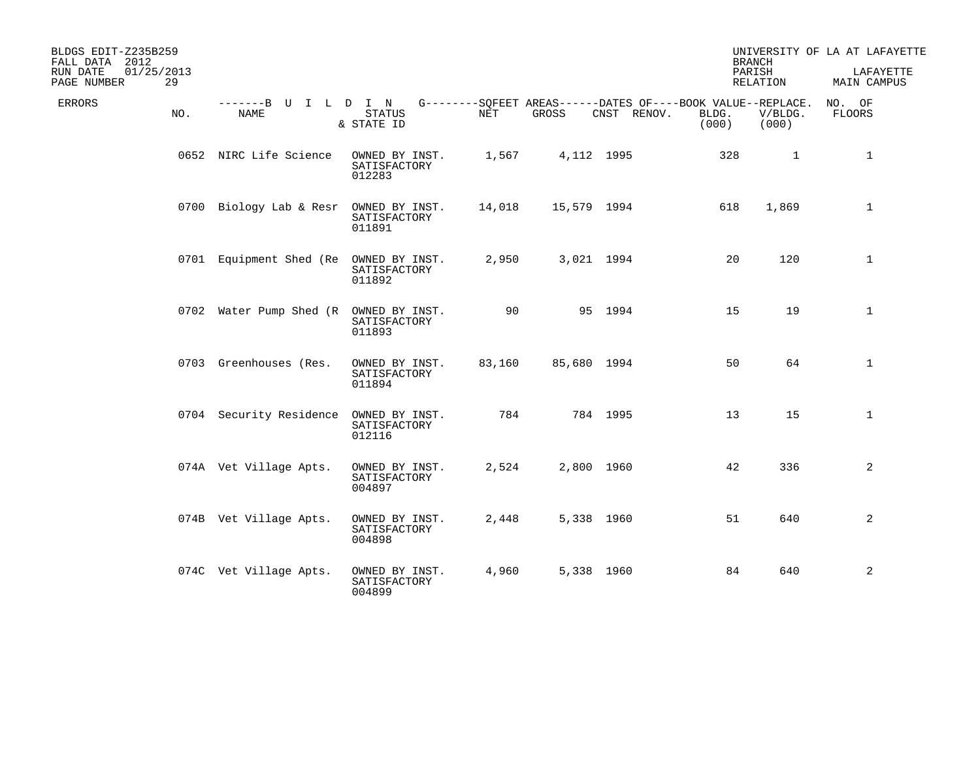| BLDGS EDIT-Z235B259<br>FALL DATA 2012<br>RUN DATE<br>PAGE NUMBER | 01/25/2013<br>29 |                              |                                          |        |             |                                                                            | <b>BRANCH</b><br>PARISH | RELATION         | UNIVERSITY OF LA AT LAFAYETTE<br>LAFAYETTE<br>MAIN CAMPUS |
|------------------------------------------------------------------|------------------|------------------------------|------------------------------------------|--------|-------------|----------------------------------------------------------------------------|-------------------------|------------------|-----------------------------------------------------------|
| ERRORS                                                           | NO.              | -------B U I L D I N<br>NAME | <b>STATUS</b><br>& STATE ID              | NET    | GROSS       | G--------SQFEET AREAS------DATES OF----BOOK VALUE--REPLACE.<br>CNST RENOV. | BLDG.<br>(000)          | V/BLDG.<br>(000) | NO. OF<br>FLOORS                                          |
|                                                                  |                  | 0652 NIRC Life Science       | OWNED BY INST.<br>SATISFACTORY<br>012283 | 1,567  |             | 4,112 1995                                                                 | 328                     | $\mathbf{1}$     | $\mathbf{1}$                                              |
|                                                                  |                  | 0700 Biology Lab & Resr      | OWNED BY INST.<br>SATISFACTORY<br>011891 | 14,018 | 15,579 1994 |                                                                            | 618                     | 1,869            | $\mathbf{1}$                                              |
|                                                                  |                  | 0701 Equipment Shed (Re      | OWNED BY INST.<br>SATISFACTORY<br>011892 | 2,950  |             | 3,021 1994                                                                 | 20                      | 120              | $\mathbf{1}$                                              |
|                                                                  |                  | 0702 Water Pump Shed (R      | OWNED BY INST.<br>SATISFACTORY<br>011893 | 90     |             | 95 1994                                                                    | 15                      | 19               | $\mathbf{1}$                                              |
|                                                                  |                  | 0703 Greenhouses (Res.       | OWNED BY INST.<br>SATISFACTORY<br>011894 | 83,160 | 85,680 1994 |                                                                            | 50                      | 64               | $\mathbf 1$                                               |
|                                                                  |                  | 0704 Security Residence      | OWNED BY INST.<br>SATISFACTORY<br>012116 | 784    |             | 784 1995                                                                   | 13                      | 15               | $\mathbf{1}$                                              |
|                                                                  |                  | 074A Vet Village Apts.       | OWNED BY INST.<br>SATISFACTORY<br>004897 | 2,524  |             | 2,800 1960                                                                 | 42                      | 336              | 2                                                         |
|                                                                  |                  | 074B Vet Village Apts.       | OWNED BY INST.<br>SATISFACTORY<br>004898 | 2,448  |             | 5,338 1960                                                                 | 51                      | 640              | 2                                                         |
|                                                                  |                  | 074C Vet Village Apts.       | OWNED BY INST.<br>SATISFACTORY<br>004899 | 4,960  |             | 5,338 1960                                                                 | 84                      | 640              | 2                                                         |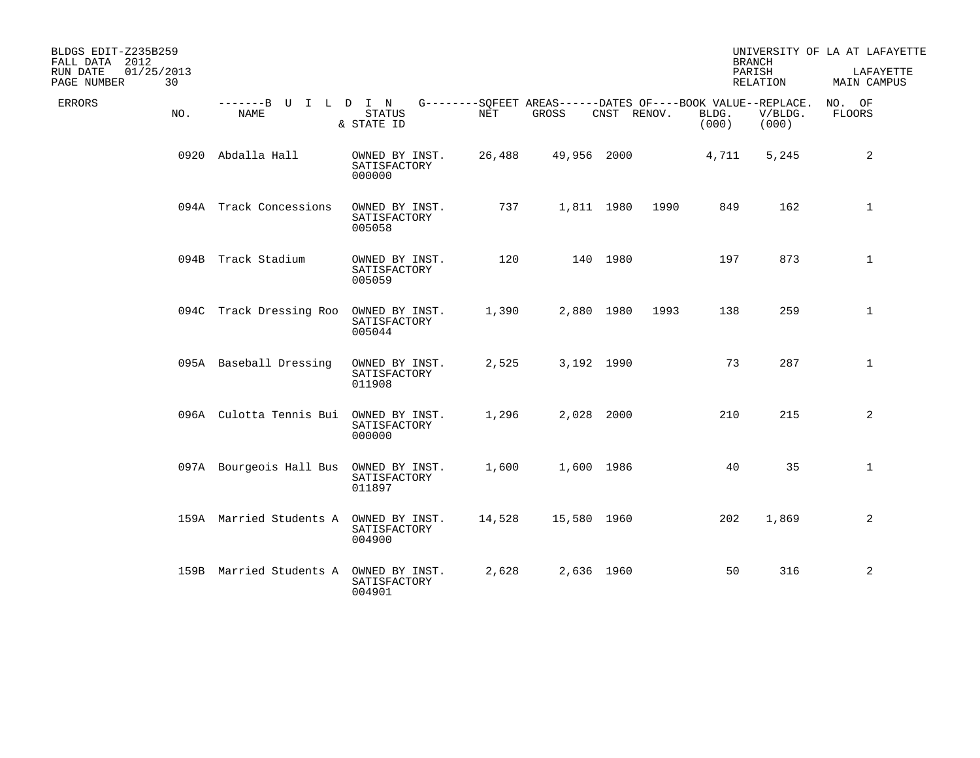| BLDGS EDIT-Z235B259<br>FALL DATA 2012       |                                     |                                          |            |                                                                      |             |      |                | <b>BRANCH</b>      | UNIVERSITY OF LA AT LAFAYETTE |
|---------------------------------------------|-------------------------------------|------------------------------------------|------------|----------------------------------------------------------------------|-------------|------|----------------|--------------------|-------------------------------|
| 01/25/2013<br>RUN DATE<br>30<br>PAGE NUMBER |                                     |                                          |            |                                                                      |             |      |                | PARISH<br>RELATION | LAFAYETTE<br>MAIN CAMPUS      |
| <b>ERRORS</b><br>NO.                        | -------B U I L D I N<br><b>NAME</b> | <b>STATUS</b><br>& STATE ID              | <b>NET</b> | G--------SOFEET AREAS------DATES OF----BOOK VALUE--REPLACE.<br>GROSS | CNST RENOV. |      | BLDG.<br>(000) | V/BLDG.<br>(000)   | NO. OF<br><b>FLOORS</b>       |
|                                             | 0920 Abdalla Hall                   | OWNED BY INST.<br>SATISFACTORY<br>000000 | 26,488     | 49,956 2000                                                          |             |      | 4,711          | 5,245              | 2                             |
|                                             | 094A Track Concessions              | OWNED BY INST.<br>SATISFACTORY<br>005058 | 737        |                                                                      | 1,811 1980  | 1990 | 849            | 162                | $\mathbf 1$                   |
|                                             | 094B Track Stadium                  | OWNED BY INST.<br>SATISFACTORY<br>005059 | 120        |                                                                      | 140 1980    |      | 197            | 873                | $\mathbf{1}$                  |
|                                             | 094C Track Dressing Roo             | OWNED BY INST.<br>SATISFACTORY<br>005044 | 1,390      |                                                                      | 2,880 1980  | 1993 | 138            | 259                | $\mathbf{1}$                  |
|                                             | 095A Baseball Dressing              | OWNED BY INST.<br>SATISFACTORY<br>011908 | 2,525      |                                                                      | 3,192 1990  |      | 73             | 287                | $\mathbf{1}$                  |
|                                             | 096A Culotta Tennis Bui             | OWNED BY INST.<br>SATISFACTORY<br>000000 | 1,296      |                                                                      | 2,028 2000  |      | 210            | 215                | 2                             |
|                                             | 097A Bourgeois Hall Bus             | OWNED BY INST.<br>SATISFACTORY<br>011897 | 1,600      | 1,600 1986                                                           |             |      | 40             | 35                 | $\mathbf{1}$                  |
|                                             | 159A Married Students A             | OWNED BY INST.<br>SATISFACTORY<br>004900 | 14,528     | 15,580 1960                                                          |             |      | 202            | 1,869              | 2                             |
|                                             | 159B Married Students A             | OWNED BY INST.<br>SATISFACTORY<br>004901 | 2,628      |                                                                      | 2,636 1960  |      | 50             | 316                | 2                             |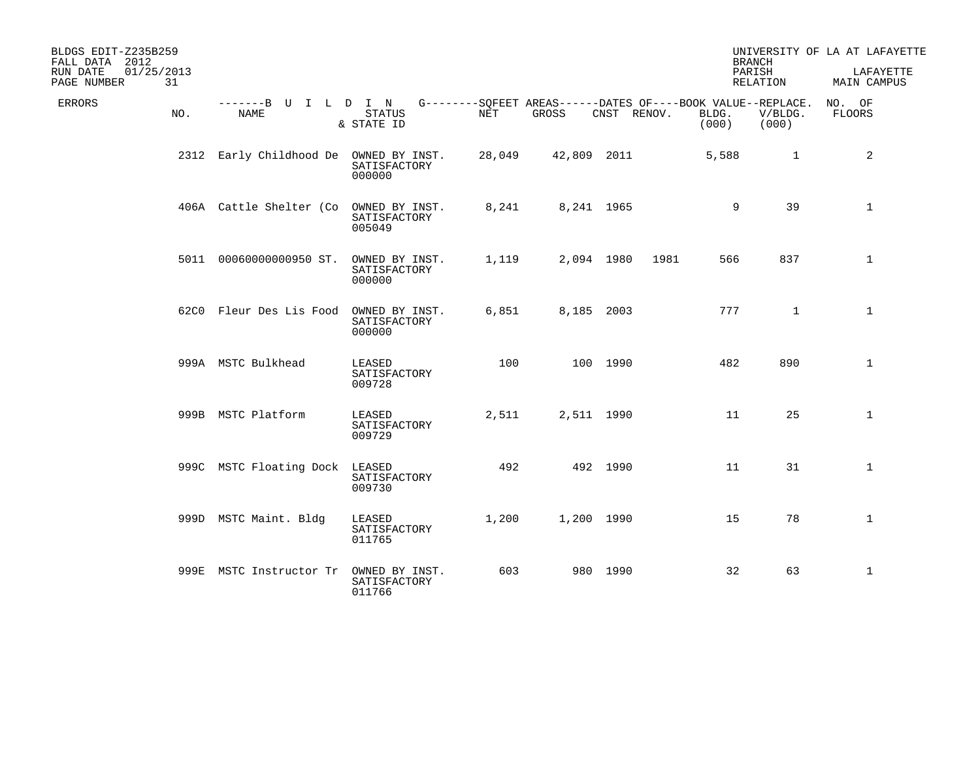| BLDGS EDIT-Z235B259<br>FALL DATA 2012<br>01/25/2013<br>RUN DATE |                                        |                                          |        |                                                                      |             |      |                | <b>BRANCH</b><br>PARISH | UNIVERSITY OF LA AT LAFAYETTE<br>LAFAYETTE |
|-----------------------------------------------------------------|----------------------------------------|------------------------------------------|--------|----------------------------------------------------------------------|-------------|------|----------------|-------------------------|--------------------------------------------|
| 31<br>PAGE NUMBER                                               |                                        |                                          |        |                                                                      |             |      |                | RELATION                | MAIN CAMPUS                                |
| <b>ERRORS</b><br>NO.                                            | -------B U I L D I N<br>NAME           | <b>STATUS</b><br>& STATE ID              | NET    | G--------SQFEET AREAS------DATES OF----BOOK VALUE--REPLACE.<br>GROSS | CNST RENOV. |      | BLDG.<br>(000) | V/BLDG.<br>(000)        | NO. OF<br>FLOORS                           |
|                                                                 | 2312 Early Childhood De OWNED BY INST. | SATISFACTORY<br>000000                   | 28,049 | 42,809 2011                                                          |             |      | 5,588          | $\mathbf{1}$            | 2                                          |
|                                                                 | 406A Cattle Shelter (Co                | OWNED BY INST.<br>SATISFACTORY<br>005049 | 8,241  |                                                                      | 8,241 1965  |      | 9              | 39                      | $\mathbf{1}$                               |
|                                                                 | 5011 00060000000950 ST.                | OWNED BY INST.<br>SATISFACTORY<br>000000 | 1,119  |                                                                      | 2,094 1980  | 1981 | 566            | 837                     | $\mathbf{1}$                               |
|                                                                 | 62C0 Fleur Des Lis Food                | OWNED BY INST.<br>SATISFACTORY<br>000000 | 6,851  |                                                                      | 8,185 2003  |      | 777            | $\mathbf{1}$            | $\mathbf{1}$                               |
|                                                                 | 999A MSTC Bulkhead                     | LEASED<br>SATISFACTORY<br>009728         | 100    |                                                                      | 100 1990    |      | 482            | 890                     | $\mathbf{1}$                               |
|                                                                 | 999B MSTC Platform                     | LEASED<br>SATISFACTORY<br>009729         | 2,511  |                                                                      | 2,511 1990  |      | 11             | 25                      | $\mathbf{1}$                               |
|                                                                 | 999C MSTC Floating Dock                | LEASED<br>SATISFACTORY<br>009730         | 492    |                                                                      | 492 1990    |      | 11             | 31                      | $\mathbf{1}$                               |
|                                                                 | 999D MSTC Maint. Bldg                  | LEASED<br>SATISFACTORY<br>011765         | 1,200  |                                                                      | 1,200 1990  |      | 15             | 78                      | $\mathbf 1$                                |
|                                                                 | 999E MSTC Instructor Tr                | OWNED BY INST.<br>SATISFACTORY<br>011766 | 603    |                                                                      | 980 1990    |      | 32             | 63                      | $\mathbf{1}$                               |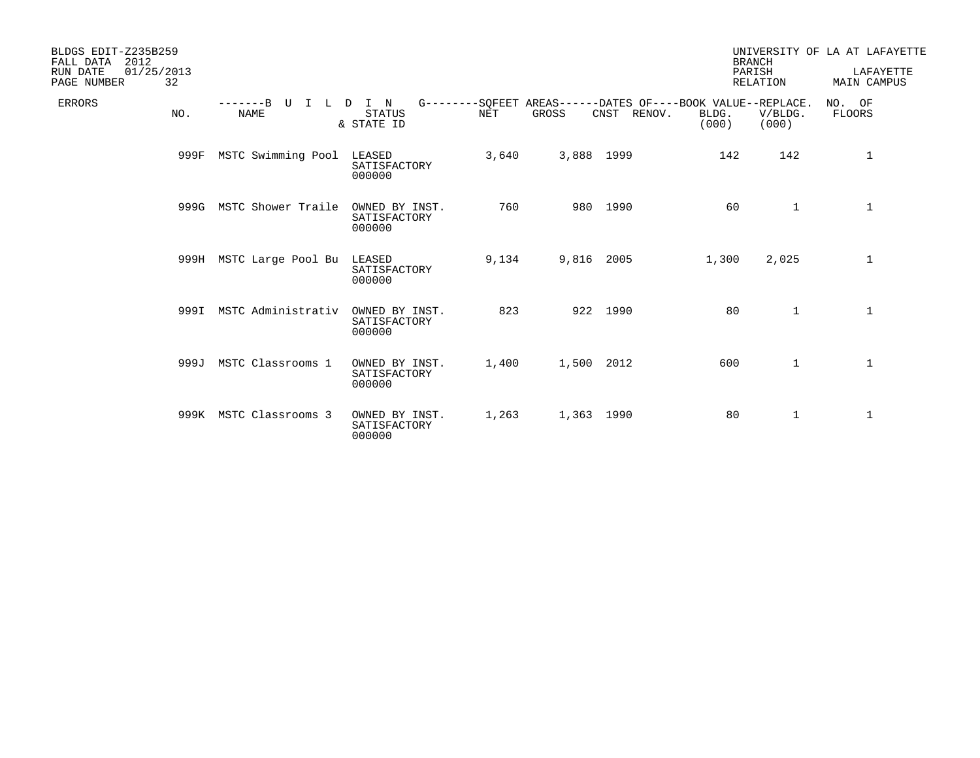| BLDGS EDIT-Z235B259<br>2012<br>FALL DATA<br>01/25/2013<br>RUN DATE<br>PAGE NUMBER<br>32 |                                 |                                          |       |            |                                                                            |                | <b>BRANCH</b><br>PARISH<br><b>RELATION</b> | UNIVERSITY OF LA AT LAFAYETTE<br>LAFAYETTE<br><b>MAIN CAMPUS</b> |
|-----------------------------------------------------------------------------------------|---------------------------------|------------------------------------------|-------|------------|----------------------------------------------------------------------------|----------------|--------------------------------------------|------------------------------------------------------------------|
| <b>ERRORS</b><br>NO.                                                                    | $---B$ U<br>$\top$<br>L<br>NAME | I N<br>D<br><b>STATUS</b><br>& STATE ID  | NET   | GROSS      | G--------SOFEET AREAS------DATES OF----BOOK VALUE--REPLACE.<br>CNST RENOV. | BLDG.<br>(000) | V/BLDG.<br>(000)                           | NO. OF<br><b>FLOORS</b>                                          |
| 999F                                                                                    | MSTC Swimming Pool              | LEASED<br>SATISFACTORY<br>000000         | 3,640 | 3,888 1999 |                                                                            | 142            | 142                                        | 1                                                                |
|                                                                                         | 999G MSTC Shower Traile         | OWNED BY INST.<br>SATISFACTORY<br>000000 | 760   |            | 980 1990                                                                   | 60             | $\mathbf{1}$                               | $\mathbf{1}$                                                     |
|                                                                                         | 999H MSTC Large Pool Bu         | LEASED<br>SATISFACTORY<br>000000         | 9,134 | 9,816 2005 |                                                                            | 1,300          | 2,025                                      | 1                                                                |
|                                                                                         | 999I MSTC Administrativ         | OWNED BY INST.<br>SATISFACTORY<br>000000 | 823   |            | 922 1990                                                                   | 80             | $\mathbf{1}$                               | $\mathbf{1}$                                                     |
|                                                                                         | 999J MSTC Classrooms 1          | OWNED BY INST.<br>SATISFACTORY<br>000000 | 1,400 | 1,500 2012 |                                                                            | 600            | $\mathbf{1}$                               | $\mathbf 1$                                                      |
|                                                                                         | 999K MSTC Classrooms 3          | OWNED BY INST.<br>SATISFACTORY<br>000000 | 1,263 | 1,363 1990 |                                                                            | 80             | $\mathbf{1}$                               | $\mathbf{1}$                                                     |